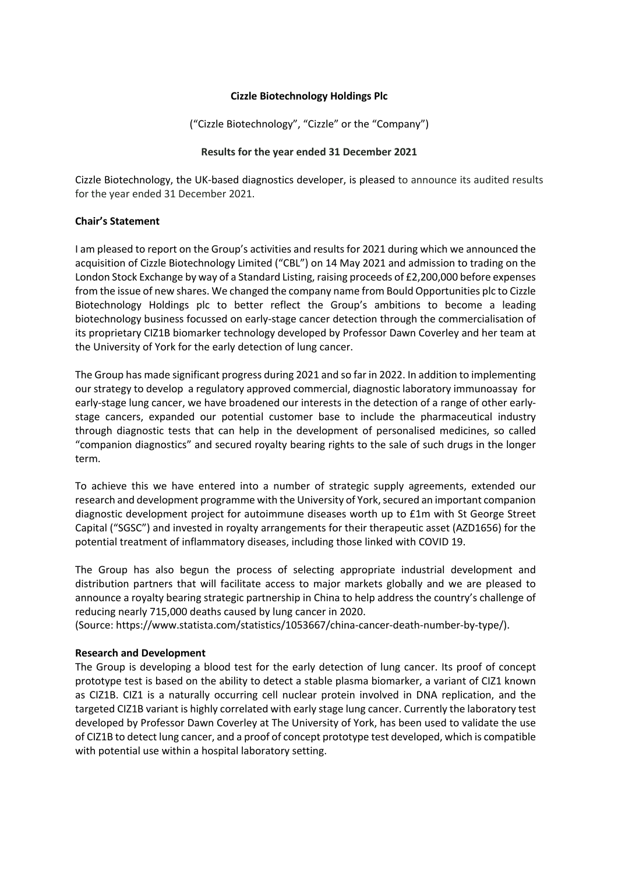### **Cizzle Biotechnology Holdings Plc**

("Cizzle Biotechnology", "Cizzle" or the "Company")

#### **Results for the year ended 31 December 2021**

Cizzle Biotechnology, the UK-based diagnostics developer, is pleased to announce its audited results for the year ended 31 December 2021.

#### **Chair's Statement**

I am pleased to report on the Group's activities and results for 2021 during which we announced the acquisition of Cizzle Biotechnology Limited ("CBL") on 14 May 2021 and admission to trading on the London Stock Exchange by way of a Standard Listing, raising proceeds of £2,200,000 before expenses from the issue of new shares. We changed the company name from Bould Opportunities plc to Cizzle Biotechnology Holdings plc to better reflect the Group's ambitions to become a leading biotechnology business focussed on early-stage cancer detection through the commercialisation of its proprietary CIZ1B biomarker technology developed by Professor Dawn Coverley and her team at the University of York for the early detection of lung cancer.

The Group has made significant progress during 2021 and so far in 2022. In addition to implementing our strategy to develop a regulatory approved commercial, diagnostic laboratory immunoassay for early-stage lung cancer, we have broadened our interests in the detection of a range of other earlystage cancers, expanded our potential customer base to include the pharmaceutical industry through diagnostic tests that can help in the development of personalised medicines, so called "companion diagnostics" and secured royalty bearing rights to the sale of such drugs in the longer term.

To achieve this we have entered into a number of strategic supply agreements, extended our research and development programme with the University of York, secured an important companion diagnostic development project for autoimmune diseases worth up to £1m with St George Street Capital ("SGSC") and invested in royalty arrangements for their therapeutic asset (AZD1656) for the potential treatment of inflammatory diseases, including those linked with COVID 19.

The Group has also begun the process of selecting appropriate industrial development and distribution partners that will facilitate access to major markets globally and we are pleased to announce a royalty bearing strategic partnership in China to help address the country's challenge of reducing nearly 715,000 deaths caused by lung cancer in 2020.

(Source: https://www.statista.com/statistics/1053667/china-cancer-death-number-by-type/).

### **Research and Development**

The Group is developing a blood test for the early detection of lung cancer. Its proof of concept prototype test is based on the ability to detect a stable plasma biomarker, a variant of CIZ1 known as CIZ1B. CIZ1 is a naturally occurring cell nuclear protein involved in DNA replication, and the targeted CIZ1B variant is highly correlated with early stage lung cancer. Currently the laboratory test developed by Professor Dawn Coverley at The University of York, has been used to validate the use of CIZ1B to detect lung cancer, and a proof of concept prototype test developed, which is compatible with potential use within a hospital laboratory setting.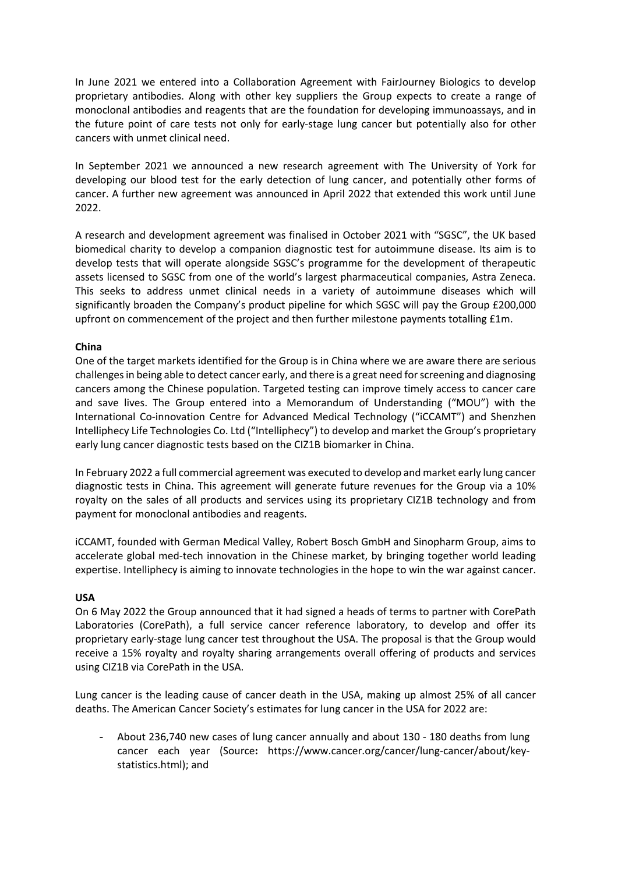In June 2021 we entered into a Collaboration Agreement with FairJourney Biologics to develop proprietary antibodies. Along with other key suppliers the Group expects to create a range of monoclonal antibodies and reagents that are the foundation for developing immunoassays, and in the future point of care tests not only for early-stage lung cancer but potentially also for other cancers with unmet clinical need.

In September 2021 we announced a new research agreement with The University of York for developing our blood test for the early detection of lung cancer, and potentially other forms of cancer. A further new agreement was announced in April 2022 that extended this work until June 2022.

A research and development agreement was finalised in October 2021 with "SGSC", the UK based biomedical charity to develop a companion diagnostic test for autoimmune disease. Its aim is to develop tests that will operate alongside SGSC's programme for the development of therapeutic assets licensed to SGSC from one of the world's largest pharmaceutical companies, Astra Zeneca. This seeks to address unmet clinical needs in a variety of autoimmune diseases which will significantly broaden the Company's product pipeline for which SGSC will pay the Group £200,000 upfront on commencement of the project and then further milestone payments totalling £1m.

### **China**

One of the target markets identified for the Group is in China where we are aware there are serious challenges in being able to detect cancer early, and there is a great need for screening and diagnosing cancers among the Chinese population. Targeted testing can improve timely access to cancer care and save lives. The Group entered into a Memorandum of Understanding ("MOU") with the International Co-innovation Centre for Advanced Medical Technology ("iCCAMT") and Shenzhen Intelliphecy Life Technologies Co. Ltd ("Intelliphecy") to develop and market the Group's proprietary early lung cancer diagnostic tests based on the CIZ1B biomarker in China.

In February 2022 a full commercial agreement was executed to develop and market early lung cancer diagnostic tests in China. This agreement will generate future revenues for the Group via a 10% royalty on the sales of all products and services using its proprietary CIZ1B technology and from payment for monoclonal antibodies and reagents.

iCCAMT, founded with German Medical Valley, Robert Bosch GmbH and Sinopharm Group, aims to accelerate global med-tech innovation in the Chinese market, by bringing together world leading expertise. Intelliphecy is aiming to innovate technologies in the hope to win the war against cancer.

### **USA**

On 6 May 2022 the Group announced that it had signed a heads of terms to partner with CorePath Laboratories (CorePath), a full service cancer reference laboratory, to develop and offer its proprietary early-stage lung cancer test throughout the USA. The proposal is that the Group would receive a 15% royalty and royalty sharing arrangements overall offering of products and services using CIZ1B via CorePath in the USA.

Lung cancer is the leading cause of cancer death in the USA, making up almost 25% of all cancer deaths. The American Cancer Society's estimates for lung cancer in the USA for 2022 are:

- About 236,740 new cases of lung cancer annually and about 130 - 180 deaths from lung cancer each year (Source**:** https://www.cancer.org/cancer/lung-cancer/about/keystatistics.html); and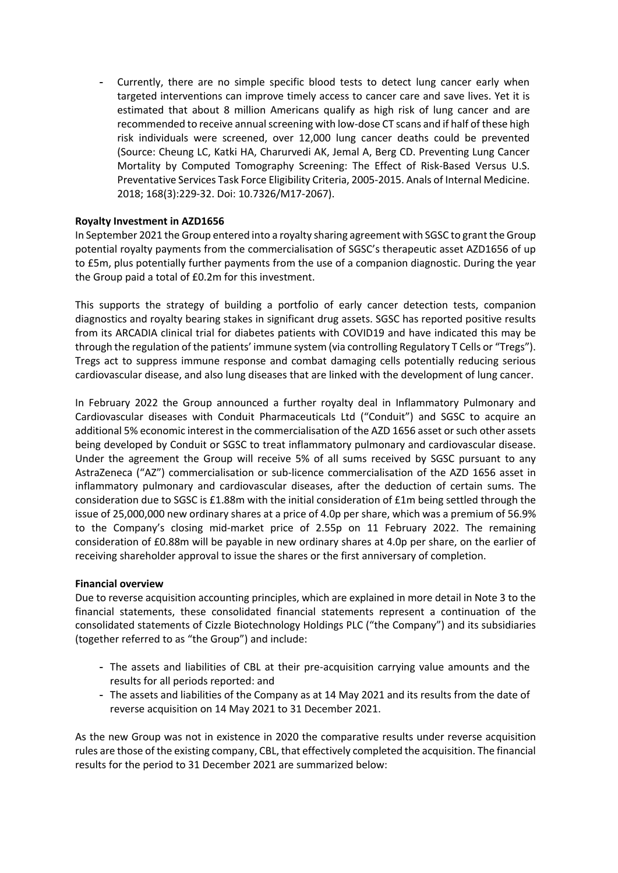Currently, there are no simple specific blood tests to detect lung cancer early when targeted interventions can improve timely access to cancer care and save lives. Yet it is estimated that about 8 million Americans qualify as high risk of lung cancer and are recommended to receive annual screening with low-dose CT scans and if half of these high risk individuals were screened, over 12,000 lung cancer deaths could be prevented (Source: Cheung LC, Katki HA, Charurvedi AK, Jemal A, Berg CD. Preventing Lung Cancer Mortality by Computed Tomography Screening: The Effect of Risk-Based Versus U.S. Preventative Services Task Force Eligibility Criteria, 2005-2015. Anals of Internal Medicine. 2018; 168(3):229-32. Doi: 10.7326/M17-2067).

### **Royalty Investment in AZD1656**

In September 2021 the Group entered into a royalty sharing agreement with SGSC to grant the Group potential royalty payments from the commercialisation of SGSC's therapeutic asset AZD1656 of up to £5m, plus potentially further payments from the use of a companion diagnostic. During the year the Group paid a total of £0.2m for this investment.

This supports the strategy of building a portfolio of early cancer detection tests, companion diagnostics and royalty bearing stakes in significant drug assets. SGSC has reported positive results from its ARCADIA clinical trial for diabetes patients with COVID19 and have indicated this may be through the regulation of the patients' immune system (via controlling Regulatory T Cells or "Tregs"). Tregs act to suppress immune response and combat damaging cells potentially reducing serious cardiovascular disease, and also lung diseases that are linked with the development of lung cancer.

In February 2022 the Group announced a further royalty deal in Inflammatory Pulmonary and Cardiovascular diseases with Conduit Pharmaceuticals Ltd ("Conduit") and SGSC to acquire an additional 5% economic interest in the commercialisation of the AZD 1656 asset or such other assets being developed by Conduit or SGSC to treat inflammatory pulmonary and cardiovascular disease. Under the agreement the Group will receive 5% of all sums received by SGSC pursuant to any AstraZeneca ("AZ") commercialisation or sub-licence commercialisation of the AZD 1656 asset in inflammatory pulmonary and cardiovascular diseases, after the deduction of certain sums. The consideration due to SGSC is £1.88m with the initial consideration of £1m being settled through the issue of 25,000,000 new ordinary shares at a price of 4.0p per share, which was a premium of 56.9% to the Company's closing mid-market price of 2.55p on 11 February 2022. The remaining consideration of £0.88m will be payable in new ordinary shares at 4.0p per share, on the earlier of receiving shareholder approval to issue the shares or the first anniversary of completion.

#### **Financial overview**

Due to reverse acquisition accounting principles, which are explained in more detail in Note 3 to the financial statements, these consolidated financial statements represent a continuation of the consolidated statements of Cizzle Biotechnology Holdings PLC ("the Company") and its subsidiaries (together referred to as "the Group") and include:

- The assets and liabilities of CBL at their pre-acquisition carrying value amounts and the results for all periods reported: and
- The assets and liabilities of the Company as at 14 May 2021 and its results from the date of reverse acquisition on 14 May 2021 to 31 December 2021.

As the new Group was not in existence in 2020 the comparative results under reverse acquisition rules are those of the existing company, CBL, that effectively completed the acquisition. The financial results for the period to 31 December 2021 are summarized below: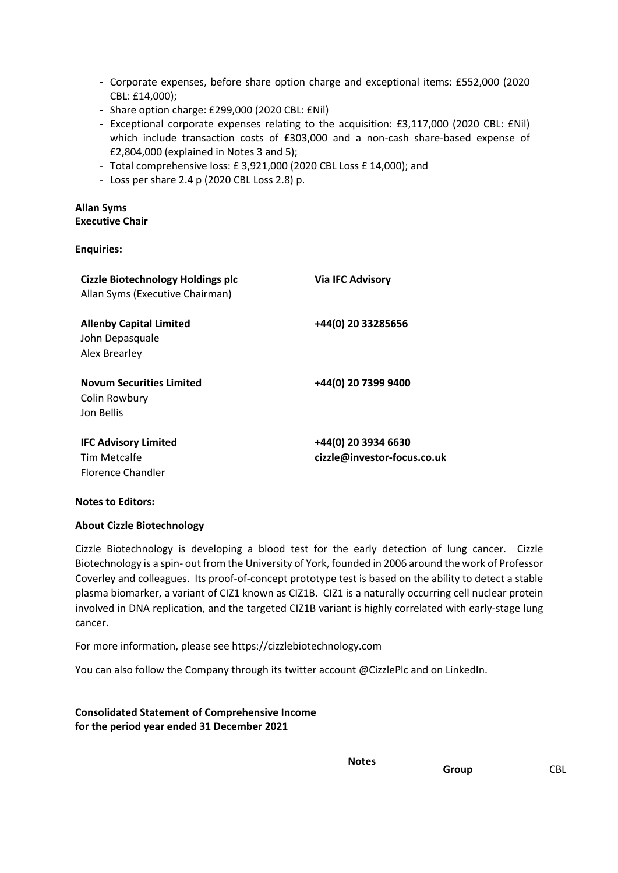- Corporate expenses, before share option charge and exceptional items: £552,000 (2020 CBL: £14,000);
- Share option charge: £299,000 (2020 CBL: £Nil)
- Exceptional corporate expenses relating to the acquisition: £3,117,000 (2020 CBL: £Nil) which include transaction costs of £303,000 and a non-cash share-based expense of £2,804,000 (explained in Notes 3 and 5);
- Total comprehensive loss: £ 3,921,000 (2020 CBL Loss £ 14,000); and
- Loss per share 2.4 p (2020 CBL Loss 2.8) p.

### **Allan Syms Executive Chair**

**Enquiries:**

| <b>Cizzle Biotechnology Holdings plc</b><br>Allan Syms (Executive Chairman) | <b>Via IFC Advisory</b>                            |
|-----------------------------------------------------------------------------|----------------------------------------------------|
| <b>Allenby Capital Limited</b><br>John Depasquale<br>Alex Brearley          | +44(0) 20 33285656                                 |
| <b>Novum Securities Limited</b><br>Colin Rowbury<br>Jon Bellis              | +44(0) 20 7399 9400                                |
| <b>IFC Advisory Limited</b><br>Tim Metcalfe<br><b>Florence Chandler</b>     | +44(0) 20 3934 6630<br>cizzle@investor-focus.co.uk |

### **Notes to Editors:**

### **About Cizzle Biotechnology**

Cizzle Biotechnology is developing a blood test for the early detection of lung cancer. Cizzle Biotechnology is a spin- out from the University of York, founded in 2006 around the work of Professor Coverley and colleagues. Its proof-of-concept prototype test is based on the ability to detect a stable plasma biomarker, a variant of CIZ1 known as CIZ1B. CIZ1 is a naturally occurring cell nuclear protein involved in DNA replication, and the targeted CIZ1B variant is highly correlated with early-stage lung cancer.

For more information, please see https://cizzlebiotechnology.com

You can also follow the Company through its twitter account @CizzlePlc and on LinkedIn.

**Consolidated Statement of Comprehensive Income for the period year ended 31 December 2021**

**Group** CBL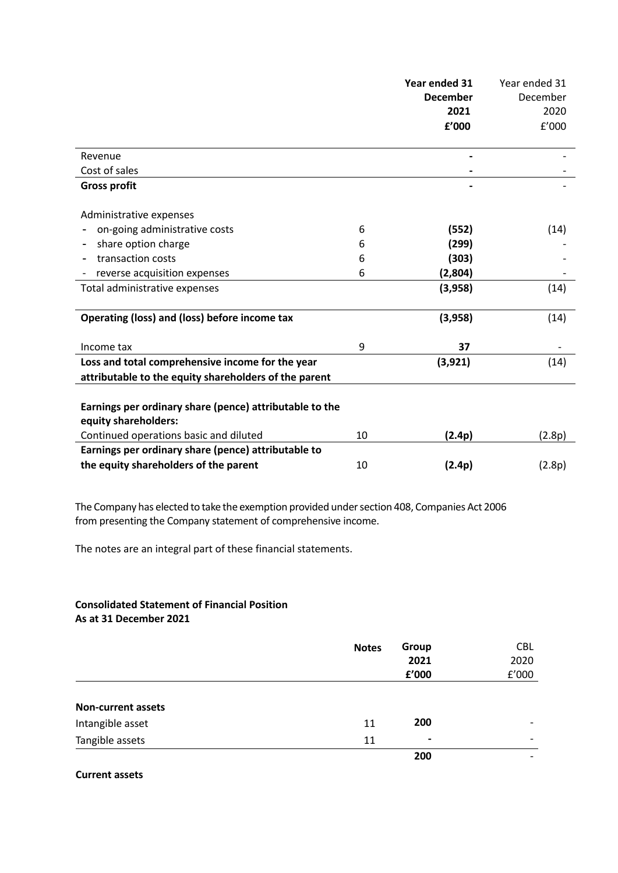|                                                                                                           |    | Year ended 31   | Year ended 31 |
|-----------------------------------------------------------------------------------------------------------|----|-----------------|---------------|
|                                                                                                           |    | <b>December</b> | December      |
|                                                                                                           |    | 2021            | 2020          |
|                                                                                                           |    | f'000           | f'000         |
| Revenue                                                                                                   |    |                 |               |
| Cost of sales                                                                                             |    |                 |               |
| <b>Gross profit</b>                                                                                       |    |                 |               |
| Administrative expenses                                                                                   |    |                 |               |
| on-going administrative costs                                                                             | 6  | (552)           | (14)          |
| share option charge                                                                                       | 6  | (299)           |               |
| transaction costs                                                                                         | 6  | (303)           |               |
| reverse acquisition expenses                                                                              | 6  | (2,804)         |               |
| Total administrative expenses                                                                             |    | (3,958)         | (14)          |
| Operating (loss) and (loss) before income tax                                                             |    | (3,958)         | (14)          |
| Income tax                                                                                                | 9  | 37              |               |
| Loss and total comprehensive income for the year<br>attributable to the equity shareholders of the parent |    | (3, 921)        | (14)          |
|                                                                                                           |    |                 |               |
| Earnings per ordinary share (pence) attributable to the<br>equity shareholders:                           |    |                 |               |
| Continued operations basic and diluted                                                                    | 10 | (2.4p)          | (2.8p)        |
| Earnings per ordinary share (pence) attributable to                                                       |    |                 |               |
| the equity shareholders of the parent                                                                     | 10 | (2.4p)          | (2.8p)        |
|                                                                                                           |    |                 |               |

The Company has elected to take the exemption provided under section 408, Companies Act 2006 from presenting the Company statement of comprehensive income.

The notes are an integral part of these financial statements.

#### **Consolidated Statement of Financial Position As at 31 December 2021**

|                           | <b>Notes</b> | Group<br>2021<br>£'000 | <b>CBL</b><br>2020<br>${\tt f}^{\prime}000$ |
|---------------------------|--------------|------------------------|---------------------------------------------|
| <b>Non-current assets</b> |              |                        |                                             |
| Intangible asset          | 11           | 200                    |                                             |
| Tangible assets           | 11           | $\blacksquare$         | -                                           |
|                           |              | 200                    |                                             |

**Current assets**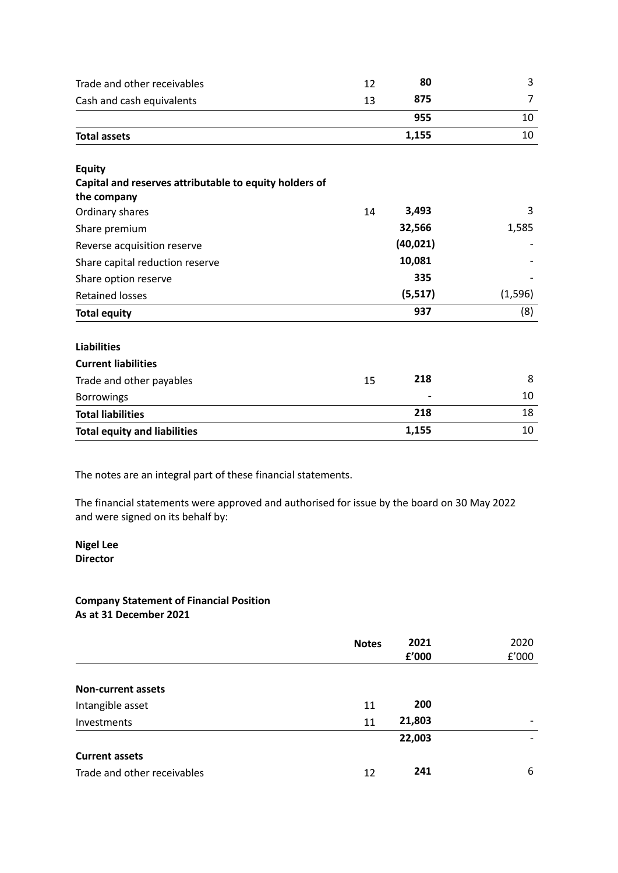| Trade and other receivables                            | 12 | 80        | 3        |
|--------------------------------------------------------|----|-----------|----------|
| Cash and cash equivalents                              | 13 | 875       | 7        |
|                                                        |    | 955       | 10       |
| <b>Total assets</b>                                    |    | 1,155     | 10       |
| <b>Equity</b>                                          |    |           |          |
| Capital and reserves attributable to equity holders of |    |           |          |
| the company                                            |    |           |          |
| Ordinary shares                                        | 14 | 3,493     | 3        |
| Share premium                                          |    | 32,566    | 1,585    |
| Reverse acquisition reserve                            |    | (40, 021) |          |
| Share capital reduction reserve                        |    | 10,081    |          |
| Share option reserve                                   |    | 335       |          |
| <b>Retained losses</b>                                 |    | (5, 517)  | (1, 596) |
| <b>Total equity</b>                                    |    | 937       | (8)      |
| <b>Liabilities</b>                                     |    |           |          |
| <b>Current liabilities</b>                             |    |           |          |
| Trade and other payables                               | 15 | 218       | 8        |
| <b>Borrowings</b>                                      |    |           | 10       |
| <b>Total liabilities</b>                               |    | 218       | 18       |
| <b>Total equity and liabilities</b>                    |    | 1,155     | 10       |

The notes are an integral part of these financial statements.

The financial statements were approved and authorised for issue by the board on 30 May 2022 and were signed on its behalf by:

#### **Nigel Lee Director**

## **Company Statement of Financial Position As at 31 December 2021**

|                             | <b>Notes</b> | 2021   | 2020                     |
|-----------------------------|--------------|--------|--------------------------|
|                             |              | f'000  | f'000                    |
|                             |              |        |                          |
| <b>Non-current assets</b>   |              |        |                          |
| Intangible asset            | 11           | 200    |                          |
| <b>Investments</b>          | 11           | 21,803 | $\overline{\phantom{0}}$ |
|                             |              | 22,003 |                          |
| <b>Current assets</b>       |              |        |                          |
| Trade and other receivables | 12           | 241    | 6                        |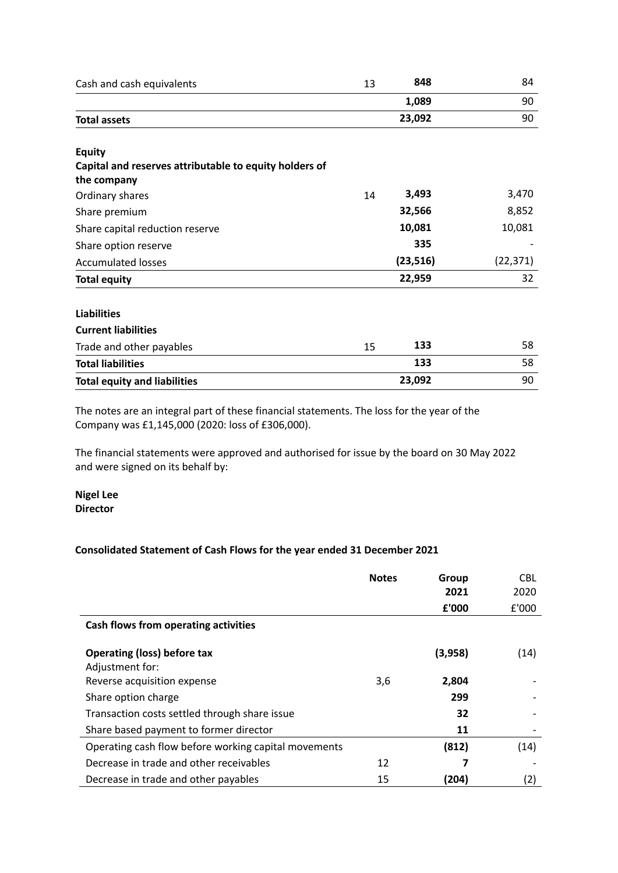| Cash and cash equivalents                              | 13 | 848       | 84        |
|--------------------------------------------------------|----|-----------|-----------|
|                                                        |    | 1,089     | 90        |
| <b>Total assets</b>                                    |    | 23,092    | 90        |
| <b>Equity</b>                                          |    |           |           |
| Capital and reserves attributable to equity holders of |    |           |           |
| the company                                            |    |           |           |
| Ordinary shares                                        | 14 | 3,493     | 3,470     |
| Share premium                                          |    | 32,566    | 8,852     |
| Share capital reduction reserve                        |    | 10,081    | 10,081    |
| Share option reserve                                   |    | 335       |           |
| <b>Accumulated losses</b>                              |    | (23, 516) | (22, 371) |
| <b>Total equity</b>                                    |    | 22,959    | 32        |
| <b>Liabilities</b>                                     |    |           |           |
| <b>Current liabilities</b>                             |    |           |           |
| Trade and other payables                               | 15 | 133       | 58        |
| <b>Total liabilities</b>                               |    | 133       | 58        |
| <b>Total equity and liabilities</b>                    |    | 23,092    | 90        |

The notes are an integral part of these financial statements. The loss for the year of the Company was £1,145,000 (2020: loss of £306,000).

The financial statements were approved and authorised for issue by the board on 30 May 2022 and were signed on its behalf by:

**Nigel Lee Director**

## **Consolidated Statement of Cash Flows for the year ended 31 December 2021**

|                                                       | <b>Notes</b> | Group<br>2021 | <b>CBL</b><br>2020 |
|-------------------------------------------------------|--------------|---------------|--------------------|
|                                                       |              | £'000         | £'000              |
| Cash flows from operating activities                  |              |               |                    |
| <b>Operating (loss) before tax</b><br>Adjustment for: |              | (3,958)       | (14)               |
| Reverse acquisition expense                           | 3,6          | 2,804         |                    |
| Share option charge                                   |              | 299           |                    |
| Transaction costs settled through share issue         |              | 32            |                    |
| Share based payment to former director                |              | 11            |                    |
| Operating cash flow before working capital movements  |              | (812)         | (14)               |
| Decrease in trade and other receivables               | 12           | 7             |                    |
| Decrease in trade and other payables                  | 15           | (204)         | (2)                |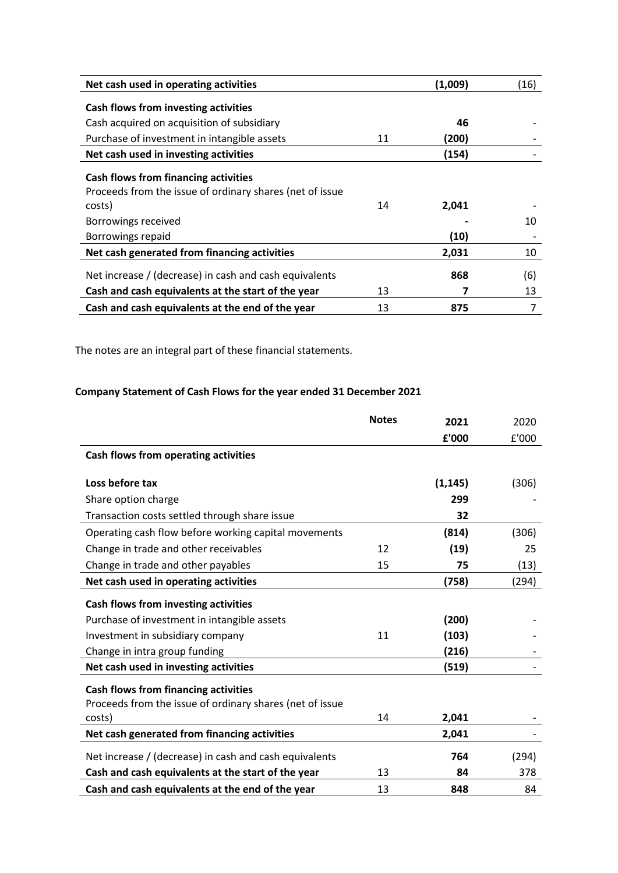| Net cash used in operating activities                                                                                                                         |    | (1,009)       | (16)      |
|---------------------------------------------------------------------------------------------------------------------------------------------------------------|----|---------------|-----------|
| <b>Cash flows from investing activities</b>                                                                                                                   |    |               |           |
| Cash acquired on acquisition of subsidiary                                                                                                                    |    | 46            |           |
| Purchase of investment in intangible assets                                                                                                                   | 11 | (200)         |           |
| Net cash used in investing activities                                                                                                                         |    | (154)         |           |
| <b>Cash flows from financing activities</b><br>Proceeds from the issue of ordinary shares (net of issue<br>costs)<br>Borrowings received<br>Borrowings repaid | 14 | 2,041<br>(10) | 10        |
| Net cash generated from financing activities                                                                                                                  |    | 2,031         | 10        |
| Net increase / (decrease) in cash and cash equivalents<br>Cash and cash equivalents at the start of the year                                                  | 13 | 868           | (6)<br>13 |
| Cash and cash equivalents at the end of the year                                                                                                              | 13 | 875           | 7         |

The notes are an integral part of these financial statements.

# **Company Statement of Cash Flows for the year ended 31 December 2021**

|                                                          | <b>Notes</b> | 2021     | 2020  |
|----------------------------------------------------------|--------------|----------|-------|
|                                                          |              | £'000    | £'000 |
| Cash flows from operating activities                     |              |          |       |
|                                                          |              |          |       |
| Loss before tax                                          |              | (1, 145) | (306) |
| Share option charge                                      |              | 299      |       |
| Transaction costs settled through share issue            |              | 32       |       |
| Operating cash flow before working capital movements     |              | (814)    | (306) |
| Change in trade and other receivables                    | 12           | (19)     | 25    |
| Change in trade and other payables                       | 15           | 75       | (13)  |
| Net cash used in operating activities                    |              | (758)    | (294) |
| Cash flows from investing activities                     |              |          |       |
| Purchase of investment in intangible assets              |              | (200)    |       |
| Investment in subsidiary company                         | 11           | (103)    |       |
| Change in intra group funding                            |              | (216)    |       |
| Net cash used in investing activities                    |              | (519)    |       |
| <b>Cash flows from financing activities</b>              |              |          |       |
| Proceeds from the issue of ordinary shares (net of issue |              |          |       |
| costs)                                                   | 14           | 2,041    |       |
| Net cash generated from financing activities             |              | 2,041    |       |
| Net increase / (decrease) in cash and cash equivalents   |              | 764      | (294) |
| Cash and cash equivalents at the start of the year       | 13           | 84       | 378   |
| Cash and cash equivalents at the end of the year         | 13           | 848      | 84    |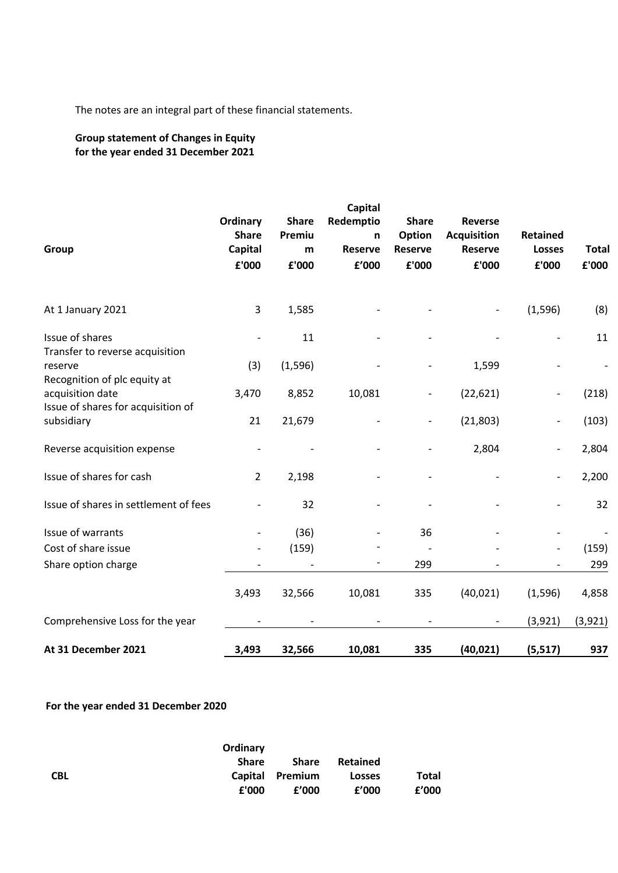The notes are an integral part of these financial statements.

# **Group statement of Changes in Equity for the year ended 31 December 2021**

| Group                                                                                  | Ordinary<br><b>Share</b><br>Capital<br>£'000 | <b>Share</b><br>Premiu<br>m<br>£'000 | Capital<br>Redemptio<br>n<br><b>Reserve</b><br>£'000 | <b>Share</b><br>Option<br><b>Reserve</b><br>£'000 | <b>Reverse</b><br><b>Acquisition</b><br><b>Reserve</b><br>£'000 | <b>Retained</b><br><b>Losses</b><br>£'000 | <b>Total</b><br>£'000 |
|----------------------------------------------------------------------------------------|----------------------------------------------|--------------------------------------|------------------------------------------------------|---------------------------------------------------|-----------------------------------------------------------------|-------------------------------------------|-----------------------|
| At 1 January 2021                                                                      | 3                                            | 1,585                                |                                                      |                                                   |                                                                 | (1, 596)                                  | (8)                   |
| Issue of shares<br>Transfer to reverse acquisition                                     |                                              | 11                                   |                                                      |                                                   |                                                                 | $\overline{a}$                            | 11                    |
| reserve                                                                                | (3)                                          | (1, 596)                             |                                                      |                                                   | 1,599                                                           |                                           |                       |
| Recognition of plc equity at<br>acquisition date<br>Issue of shares for acquisition of | 3,470                                        | 8,852                                | 10,081                                               |                                                   | (22, 621)                                                       | -                                         | (218)                 |
| subsidiary                                                                             | 21                                           | 21,679                               |                                                      |                                                   | (21, 803)                                                       |                                           | (103)                 |
| Reverse acquisition expense                                                            |                                              |                                      |                                                      |                                                   | 2,804                                                           | $\overline{\phantom{0}}$                  | 2,804                 |
| Issue of shares for cash                                                               | $\overline{2}$                               | 2,198                                |                                                      |                                                   |                                                                 | $\overline{\phantom{0}}$                  | 2,200                 |
| Issue of shares in settlement of fees                                                  |                                              | 32                                   |                                                      |                                                   |                                                                 |                                           | 32                    |
| Issue of warrants                                                                      |                                              | (36)                                 |                                                      | 36                                                |                                                                 |                                           |                       |
| Cost of share issue                                                                    |                                              | (159)                                |                                                      |                                                   |                                                                 |                                           | (159)                 |
| Share option charge                                                                    |                                              |                                      |                                                      | 299                                               |                                                                 |                                           | 299                   |
|                                                                                        | 3,493                                        | 32,566                               | 10,081                                               | 335                                               | (40, 021)                                                       | (1,596)                                   | 4,858                 |
| Comprehensive Loss for the year                                                        |                                              |                                      |                                                      |                                                   |                                                                 | (3,921)                                   | (3,921)               |
| At 31 December 2021                                                                    | 3,493                                        | 32,566                               | 10,081                                               | 335                                               | (40, 021)                                                       | (5, 517)                                  | 937                   |

# **For the year ended 31 December 2020**

|            | Ordinary     |                 |               |       |
|------------|--------------|-----------------|---------------|-------|
|            | <b>Share</b> | <b>Share</b>    | Retained      |       |
| <b>CBL</b> |              | Capital Premium | <b>Losses</b> | Total |
|            | £'000        | f'000           | f'000         | f'000 |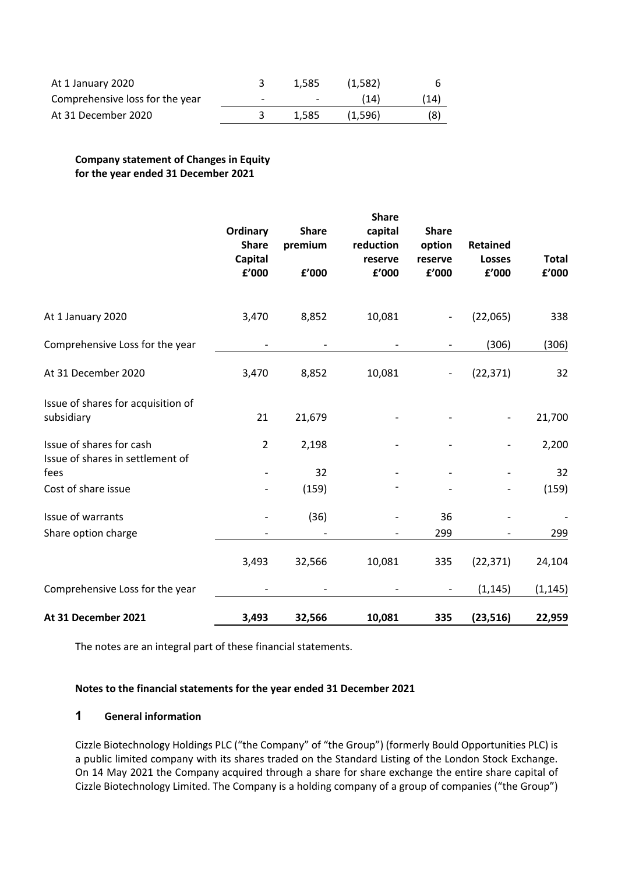| At 1 January 2020               |                          | 1.585                    | (1.582) |      |
|---------------------------------|--------------------------|--------------------------|---------|------|
| Comprehensive loss for the year | $\overline{\phantom{0}}$ | $\overline{\phantom{a}}$ | (14)    | (14) |
| At 31 December 2020             |                          | 1.585                    | (1.596) | (8)  |

## **Company statement of Changes in Equity for the year ended 31 December 2021**

|                                                              | Ordinary<br><b>Share</b><br><b>Capital</b><br>£'000 | <b>Share</b><br>premium<br>f'000 | <b>Share</b><br>capital<br>reduction<br>reserve<br>£'000 | <b>Share</b><br>option<br>reserve<br>£'000 | <b>Retained</b><br><b>Losses</b><br>£'000 | <b>Total</b><br>f'000 |
|--------------------------------------------------------------|-----------------------------------------------------|----------------------------------|----------------------------------------------------------|--------------------------------------------|-------------------------------------------|-----------------------|
| At 1 January 2020                                            | 3,470                                               | 8,852                            | 10,081                                                   |                                            | (22,065)                                  | 338                   |
| Comprehensive Loss for the year                              |                                                     |                                  |                                                          |                                            | (306)                                     | (306)                 |
| At 31 December 2020                                          | 3,470                                               | 8,852                            | 10,081                                                   |                                            | (22, 371)                                 | 32                    |
| Issue of shares for acquisition of<br>subsidiary             | 21                                                  | 21,679                           |                                                          |                                            |                                           | 21,700                |
| Issue of shares for cash<br>Issue of shares in settlement of | $\overline{2}$                                      | 2,198                            |                                                          |                                            |                                           | 2,200                 |
| fees                                                         |                                                     | 32                               |                                                          |                                            |                                           | 32                    |
| Cost of share issue                                          |                                                     | (159)                            |                                                          |                                            |                                           | (159)                 |
| Issue of warrants                                            |                                                     | (36)                             |                                                          | 36                                         |                                           |                       |
| Share option charge                                          |                                                     |                                  |                                                          | 299                                        |                                           | 299                   |
|                                                              | 3,493                                               | 32,566                           | 10,081                                                   | 335                                        | (22, 371)                                 | 24,104                |
| Comprehensive Loss for the year                              |                                                     |                                  |                                                          |                                            | (1, 145)                                  | (1, 145)              |
| At 31 December 2021                                          | 3,493                                               | 32,566                           | 10,081                                                   | 335                                        | (23, 516)                                 | 22,959                |

The notes are an integral part of these financial statements.

### **Notes to the financial statements for the year ended 31 December 2021**

## **1 General information**

Cizzle Biotechnology Holdings PLC ("the Company" of "the Group") (formerly Bould Opportunities PLC) is a public limited company with its shares traded on the Standard Listing of the London Stock Exchange. On 14 May 2021 the Company acquired through a share for share exchange the entire share capital of Cizzle Biotechnology Limited. The Company is a holding company of a group of companies ("the Group")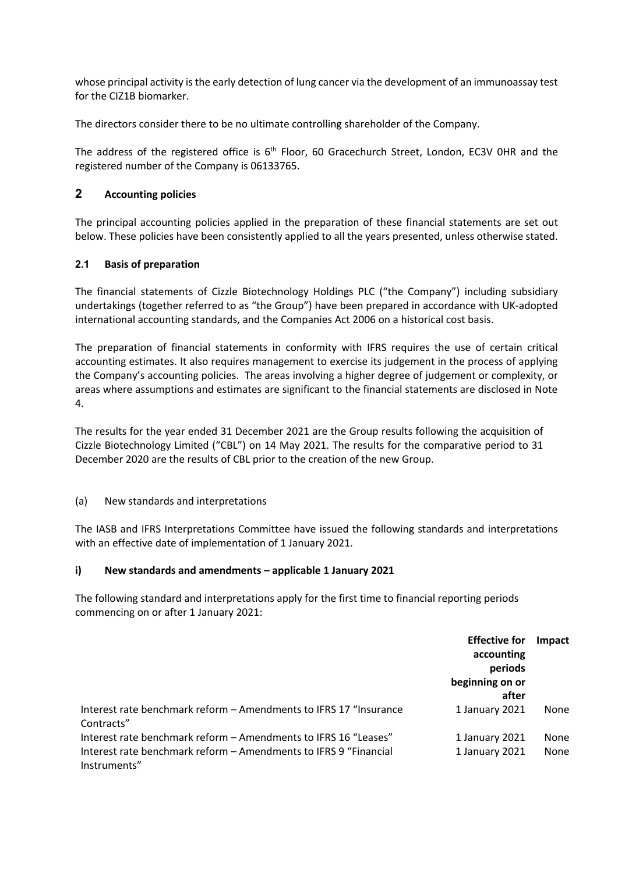whose principal activity is the early detection of lung cancer via the development of an immunoassay test for the CIZ1B biomarker.

The directors consider there to be no ultimate controlling shareholder of the Company.

The address of the registered office is 6<sup>th</sup> Floor, 60 Gracechurch Street, London, EC3V 0HR and the registered number of the Company is 06133765.

# **2 Accounting policies**

The principal accounting policies applied in the preparation of these financial statements are set out below. These policies have been consistently applied to all the years presented, unless otherwise stated.

# **2.1 Basis of preparation**

The financial statements of Cizzle Biotechnology Holdings PLC ("the Company") including subsidiary undertakings (together referred to as "the Group") have been prepared in accordance with UK-adopted international accounting standards, and the Companies Act 2006 on a historical cost basis.

The preparation of financial statements in conformity with IFRS requires the use of certain critical accounting estimates. It also requires management to exercise its judgement in the process of applying the Company's accounting policies. The areas involving a higher degree of judgement or complexity, or areas where assumptions and estimates are significant to the financial statements are disclosed in Note 4.

The results for the year ended 31 December 2021 are the Group results following the acquisition of Cizzle Biotechnology Limited ("CBL") on 14 May 2021. The results for the comparative period to 31 December 2020 are the results of CBL prior to the creation of the new Group.

## (a) New standards and interpretations

The IASB and IFRS Interpretations Committee have issued the following standards and interpretations with an effective date of implementation of 1 January 2021.

## **i) New standards and amendments – applicable 1 January 2021**

The following standard and interpretations apply for the first time to financial reporting periods commencing on or after 1 January 2021:

|                                                                                  | <b>Effective for</b> | Impact |
|----------------------------------------------------------------------------------|----------------------|--------|
|                                                                                  | accounting           |        |
|                                                                                  | periods              |        |
|                                                                                  | beginning on or      |        |
|                                                                                  | after                |        |
| Interest rate benchmark reform - Amendments to IFRS 17 "Insurance<br>Contracts"  | 1 January 2021       | None   |
| Interest rate benchmark reform - Amendments to IFRS 16 "Leases"                  | 1 January 2021       | None   |
| Interest rate benchmark reform - Amendments to IFRS 9 "Financial<br>Instruments" | 1 January 2021       | None   |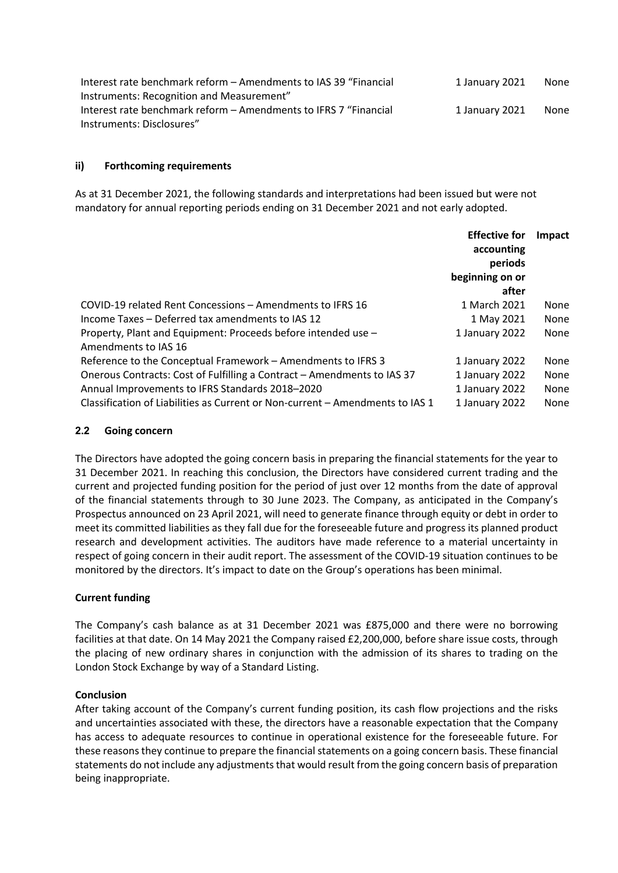| Interest rate benchmark reform - Amendments to IAS 39 "Financial | 1 January 2021 | None |
|------------------------------------------------------------------|----------------|------|
| Instruments: Recognition and Measurement"                        |                |      |
| Interest rate benchmark reform – Amendments to IFRS 7 "Financial | 1 January 2021 | None |
| Instruments: Disclosures"                                        |                |      |

### **ii) Forthcoming requirements**

As at 31 December 2021, the following standards and interpretations had been issued but were not mandatory for annual reporting periods ending on 31 December 2021 and not early adopted.

| Impact               |
|----------------------|
| None                 |
| None<br>None         |
|                      |
| None                 |
| None<br>None<br>None |
|                      |

### **2.2 Going concern**

The Directors have adopted the going concern basis in preparing the financial statements for the year to 31 December 2021. In reaching this conclusion, the Directors have considered current trading and the current and projected funding position for the period of just over 12 months from the date of approval of the financial statements through to 30 June 2023. The Company, as anticipated in the Company's Prospectus announced on 23 April 2021, will need to generate finance through equity or debt in order to meet its committed liabilities as they fall due for the foreseeable future and progress its planned product research and development activities. The auditors have made reference to a material uncertainty in respect of going concern in their audit report. The assessment of the COVID-19 situation continues to be monitored by the directors. It's impact to date on the Group's operations has been minimal.

## **Current funding**

The Company's cash balance as at 31 December 2021 was £875,000 and there were no borrowing facilities at that date. On 14 May 2021 the Company raised £2,200,000, before share issue costs, through the placing of new ordinary shares in conjunction with the admission of its shares to trading on the London Stock Exchange by way of a Standard Listing.

### **Conclusion**

After taking account of the Company's current funding position, its cash flow projections and the risks and uncertainties associated with these, the directors have a reasonable expectation that the Company has access to adequate resources to continue in operational existence for the foreseeable future. For these reasons they continue to prepare the financial statements on a going concern basis. These financial statements do not include any adjustments that would result from the going concern basis of preparation being inappropriate.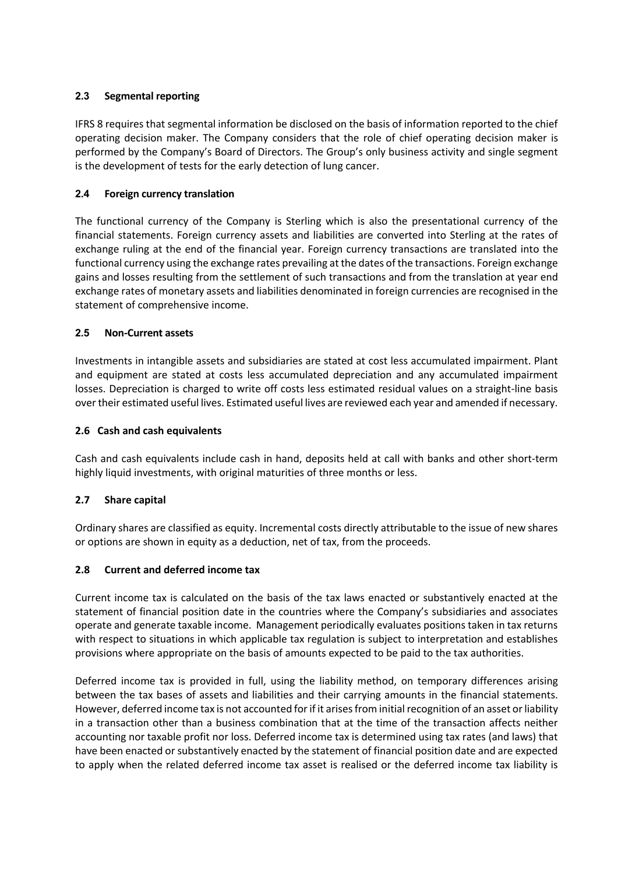## **2.3 Segmental reporting**

IFRS 8 requires that segmental information be disclosed on the basis of information reported to the chief operating decision maker. The Company considers that the role of chief operating decision maker is performed by the Company's Board of Directors. The Group's only business activity and single segment is the development of tests for the early detection of lung cancer.

# **2.4 Foreign currency translation**

The functional currency of the Company is Sterling which is also the presentational currency of the financial statements. Foreign currency assets and liabilities are converted into Sterling at the rates of exchange ruling at the end of the financial year. Foreign currency transactions are translated into the functional currency using the exchange rates prevailing at the dates of the transactions. Foreign exchange gains and losses resulting from the settlement of such transactions and from the translation at year end exchange rates of monetary assets and liabilities denominated in foreign currencies are recognised in the statement of comprehensive income.

## **2.5 Non-Current assets**

Investments in intangible assets and subsidiaries are stated at cost less accumulated impairment. Plant and equipment are stated at costs less accumulated depreciation and any accumulated impairment losses. Depreciation is charged to write off costs less estimated residual values on a straight-line basis over their estimated useful lives. Estimated useful lives are reviewed each year and amended if necessary.

## **2.6 Cash and cash equivalents**

Cash and cash equivalents include cash in hand, deposits held at call with banks and other short-term highly liquid investments, with original maturities of three months or less.

# **2.7 Share capital**

Ordinary shares are classified as equity. Incremental costs directly attributable to the issue of new shares or options are shown in equity as a deduction, net of tax, from the proceeds.

## **2.8 Current and deferred income tax**

Current income tax is calculated on the basis of the tax laws enacted or substantively enacted at the statement of financial position date in the countries where the Company's subsidiaries and associates operate and generate taxable income. Management periodically evaluates positions taken in tax returns with respect to situations in which applicable tax regulation is subject to interpretation and establishes provisions where appropriate on the basis of amounts expected to be paid to the tax authorities.

Deferred income tax is provided in full, using the liability method, on temporary differences arising between the tax bases of assets and liabilities and their carrying amounts in the financial statements. However, deferred income tax is not accounted for if it arises from initial recognition of an asset or liability in a transaction other than a business combination that at the time of the transaction affects neither accounting nor taxable profit nor loss. Deferred income tax is determined using tax rates (and laws) that have been enacted or substantively enacted by the statement of financial position date and are expected to apply when the related deferred income tax asset is realised or the deferred income tax liability is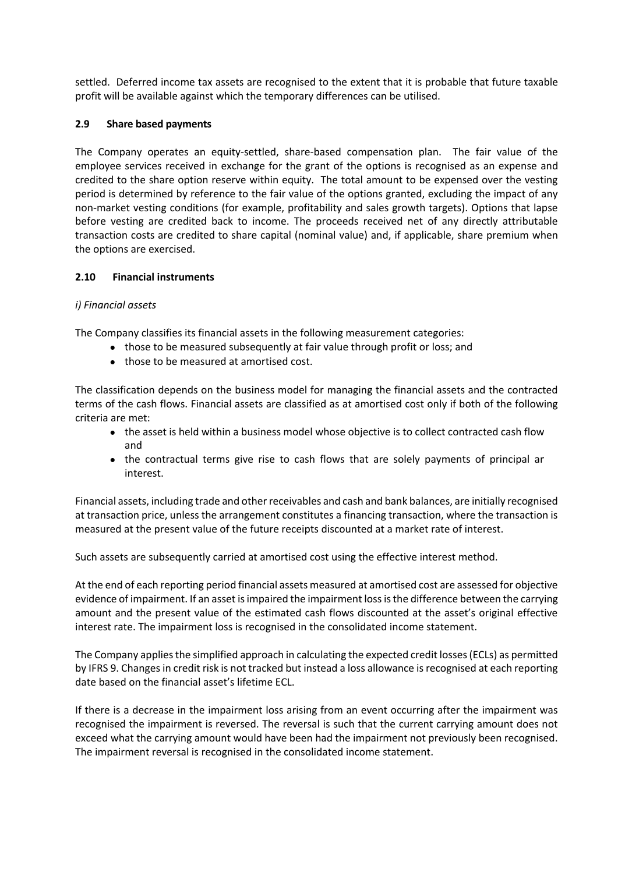settled. Deferred income tax assets are recognised to the extent that it is probable that future taxable profit will be available against which the temporary differences can be utilised.

## **2.9 Share based payments**

The Company operates an equity-settled, share-based compensation plan. The fair value of the employee services received in exchange for the grant of the options is recognised as an expense and credited to the share option reserve within equity. The total amount to be expensed over the vesting period is determined by reference to the fair value of the options granted, excluding the impact of any non-market vesting conditions (for example, profitability and sales growth targets). Options that lapse before vesting are credited back to income. The proceeds received net of any directly attributable transaction costs are credited to share capital (nominal value) and, if applicable, share premium when the options are exercised.

## **2.10 Financial instruments**

## *i) Financial assets*

The Company classifies its financial assets in the following measurement categories:

- those to be measured subsequently at fair value through profit or loss; and
- those to be measured at amortised cost.

The classification depends on the business model for managing the financial assets and the contracted terms of the cash flows. Financial assets are classified as at amortised cost only if both of the following criteria are met:

- the asset is held within a business model whose objective is to collect contracted cash flow and
- the contractual terms give rise to cash flows that are solely payments of principal ar interest.

Financial assets, including trade and other receivables and cash and bank balances, are initially recognised at transaction price, unless the arrangement constitutes a financing transaction, where the transaction is measured at the present value of the future receipts discounted at a market rate of interest.

Such assets are subsequently carried at amortised cost using the effective interest method.

At the end of each reporting period financial assets measured at amortised cost are assessed for objective evidence of impairment. If an asset is impaired the impairment loss is the difference between the carrying amount and the present value of the estimated cash flows discounted at the asset's original effective interest rate. The impairment loss is recognised in the consolidated income statement.

The Company applies the simplified approach in calculating the expected credit losses (ECLs) as permitted by IFRS 9. Changes in credit risk is not tracked but instead a loss allowance is recognised at each reporting date based on the financial asset's lifetime ECL.

If there is a decrease in the impairment loss arising from an event occurring after the impairment was recognised the impairment is reversed. The reversal is such that the current carrying amount does not exceed what the carrying amount would have been had the impairment not previously been recognised. The impairment reversal is recognised in the consolidated income statement.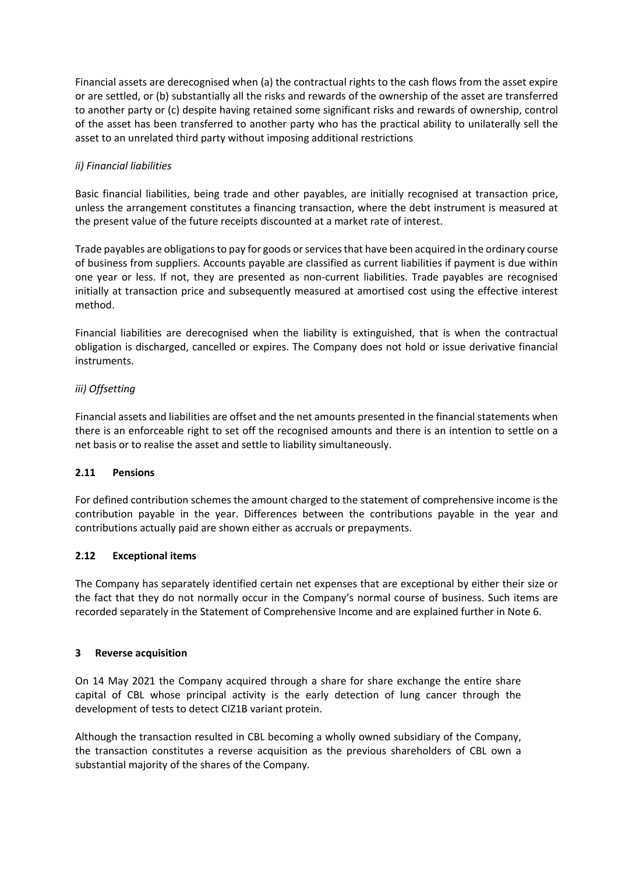Financial assets are derecognised when (a) the contractual rights to the cash flows from the asset expire or are settled, or (b) substantially all the risks and rewards of the ownership of the asset are transferred to another party or (c) despite having retained some significant risks and rewards of ownership, control of the asset has been transferred to another party who has the practical ability to unilaterally sell the asset to an unrelated third party without imposing additional restrictions

## *ii) Financial liabilities*

Basic financial liabilities, being trade and other payables, are initially recognised at transaction price, unless the arrangement constitutes a financing transaction, where the debt instrument is measured at the present value of the future receipts discounted at a market rate of interest.

Trade payables are obligations to pay for goods or services that have been acquired in the ordinary course of business from suppliers. Accounts payable are classified as current liabilities if payment is due within one year or less. If not, they are presented as non-current liabilities. Trade payables are recognised initially at transaction price and subsequently measured at amortised cost using the effective interest method.

Financial liabilities are derecognised when the liability is extinguished, that is when the contractual obligation is discharged, cancelled or expires. The Company does not hold or issue derivative financial instruments.

## *iii) Offsetting*

Financial assets and liabilities are offset and the net amounts presented in the financial statements when there is an enforceable right to set off the recognised amounts and there is an intention to settle on a net basis or to realise the asset and settle to liability simultaneously.

### **2.11 Pensions**

For defined contribution schemes the amount charged to the statement of comprehensive income is the contribution payable in the year. Differences between the contributions payable in the year and contributions actually paid are shown either as accruals or prepayments.

### **2.12 Exceptional items**

The Company has separately identified certain net expenses that are exceptional by either their size or the fact that they do not normally occur in the Company's normal course of business. Such items are recorded separately in the Statement of Comprehensive Income and are explained further in Note 6.

### **3 Reverse acquisition**

On 14 May 2021 the Company acquired through a share for share exchange the entire share capital of CBL whose principal activity is the early detection of lung cancer through the development of tests to detect CIZ1B variant protein.

Although the transaction resulted in CBL becoming a wholly owned subsidiary of the Company, the transaction constitutes a reverse acquisition as the previous shareholders of CBL own a substantial majority of the shares of the Company.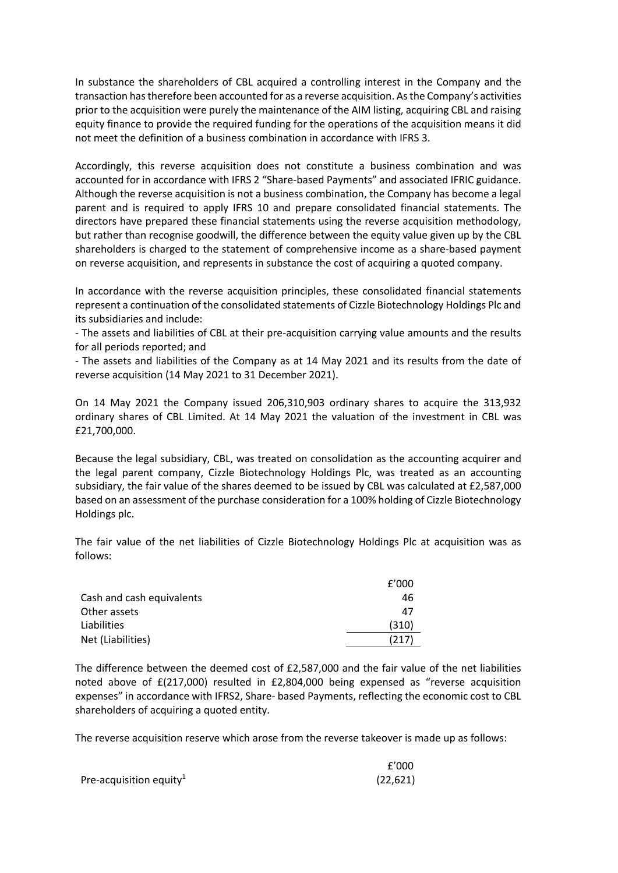In substance the shareholders of CBL acquired a controlling interest in the Company and the transaction has therefore been accounted for as a reverse acquisition. As the Company's activities prior to the acquisition were purely the maintenance of the AIM listing, acquiring CBL and raising equity finance to provide the required funding for the operations of the acquisition means it did not meet the definition of a business combination in accordance with IFRS 3.

Accordingly, this reverse acquisition does not constitute a business combination and was accounted for in accordance with IFRS 2 "Share-based Payments" and associated IFRIC guidance. Although the reverse acquisition is not a business combination, the Company has become a legal parent and is required to apply IFRS 10 and prepare consolidated financial statements. The directors have prepared these financial statements using the reverse acquisition methodology, but rather than recognise goodwill, the difference between the equity value given up by the CBL shareholders is charged to the statement of comprehensive income as a share-based payment on reverse acquisition, and represents in substance the cost of acquiring a quoted company.

In accordance with the reverse acquisition principles, these consolidated financial statements represent a continuation of the consolidated statements of Cizzle Biotechnology Holdings Plc and its subsidiaries and include:

- The assets and liabilities of CBL at their pre-acquisition carrying value amounts and the results for all periods reported; and

- The assets and liabilities of the Company as at 14 May 2021 and its results from the date of reverse acquisition (14 May 2021 to 31 December 2021).

On 14 May 2021 the Company issued 206,310,903 ordinary shares to acquire the 313,932 ordinary shares of CBL Limited. At 14 May 2021 the valuation of the investment in CBL was £21,700,000.

Because the legal subsidiary, CBL, was treated on consolidation as the accounting acquirer and the legal parent company, Cizzle Biotechnology Holdings Plc, was treated as an accounting subsidiary, the fair value of the shares deemed to be issued by CBL was calculated at £2,587,000 based on an assessment of the purchase consideration for a 100% holding of Cizzle Biotechnology Holdings plc.

The fair value of the net liabilities of Cizzle Biotechnology Holdings Plc at acquisition was as follows:

|                           | f'000 |
|---------------------------|-------|
| Cash and cash equivalents | 46    |
| Other assets              | 47    |
| Liabilities               | (310) |
| Net (Liabilities)         | (217) |

The difference between the deemed cost of £2,587,000 and the fair value of the net liabilities noted above of £(217,000) resulted in £2,804,000 being expensed as "reverse acquisition expenses" in accordance with IFRS2, Share- based Payments, reflecting the economic cost to CBL shareholders of acquiring a quoted entity.

The reverse acquisition reserve which arose from the reverse takeover is made up as follows:

|                                     | f'000     |
|-------------------------------------|-----------|
| Pre-acquisition equity <sup>1</sup> | (22, 621) |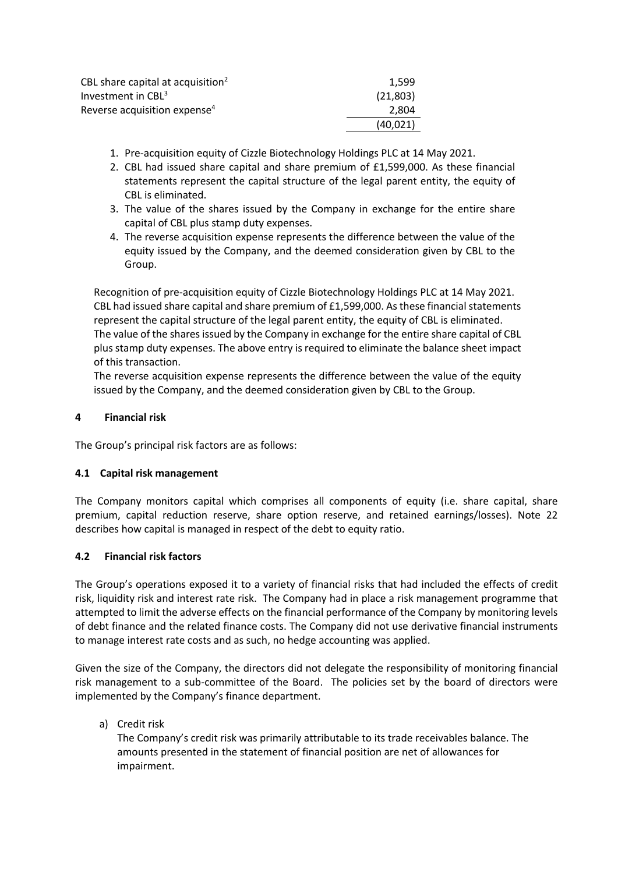| CBL share capital at acquisition <sup>2</sup> | 1.599    |
|-----------------------------------------------|----------|
| Investment in CBL <sup>3</sup>                | (21,803) |
| Reverse acquisition expense <sup>4</sup>      | 2.804    |
|                                               | (40.021) |
|                                               |          |

- 1. Pre-acquisition equity of Cizzle Biotechnology Holdings PLC at 14 May 2021.
- 2. CBL had issued share capital and share premium of £1,599,000. As these financial statements represent the capital structure of the legal parent entity, the equity of CBL is eliminated.
- 3. The value of the shares issued by the Company in exchange for the entire share capital of CBL plus stamp duty expenses.
- 4. The reverse acquisition expense represents the difference between the value of the equity issued by the Company, and the deemed consideration given by CBL to the Group.

Recognition of pre-acquisition equity of Cizzle Biotechnology Holdings PLC at 14 May 2021. CBL had issued share capital and share premium of £1,599,000. As these financial statements represent the capital structure of the legal parent entity, the equity of CBL is eliminated. The value of the shares issued by the Company in exchange for the entire share capital of CBL plus stamp duty expenses. The above entry is required to eliminate the balance sheet impact of this transaction.

The reverse acquisition expense represents the difference between the value of the equity issued by the Company, and the deemed consideration given by CBL to the Group.

## **4 Financial risk**

The Group's principal risk factors are as follows:

### **4.1 Capital risk management**

The Company monitors capital which comprises all components of equity (i.e. share capital, share premium, capital reduction reserve, share option reserve, and retained earnings/losses). Note 22 describes how capital is managed in respect of the debt to equity ratio.

### **4.2 Financial risk factors**

The Group's operations exposed it to a variety of financial risks that had included the effects of credit risk, liquidity risk and interest rate risk. The Company had in place a risk management programme that attempted to limit the adverse effects on the financial performance of the Company by monitoring levels of debt finance and the related finance costs. The Company did not use derivative financial instruments to manage interest rate costs and as such, no hedge accounting was applied.

Given the size of the Company, the directors did not delegate the responsibility of monitoring financial risk management to a sub-committee of the Board. The policies set by the board of directors were implemented by the Company's finance department.

## a) Credit risk

The Company's credit risk was primarily attributable to its trade receivables balance. The amounts presented in the statement of financial position are net of allowances for impairment.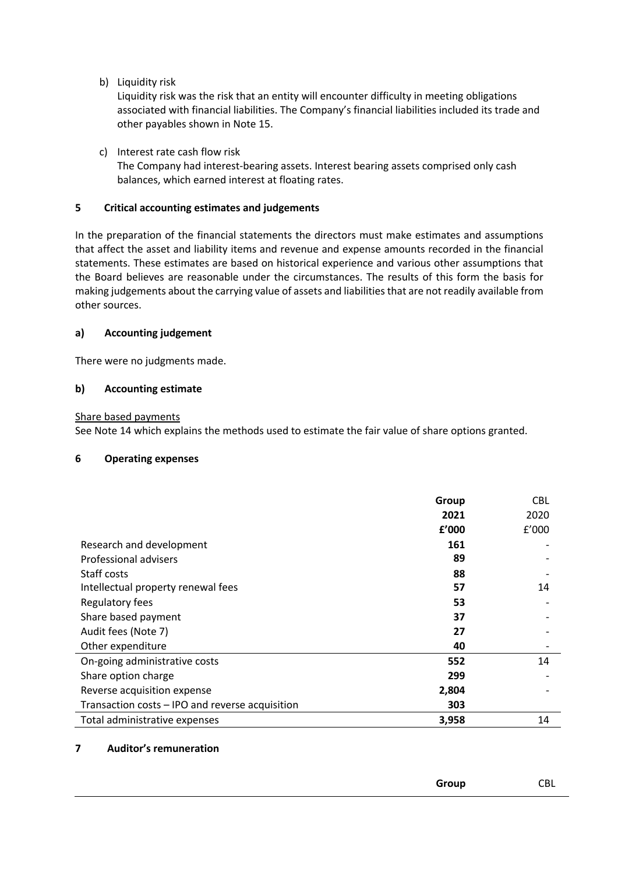b) Liquidity risk

Liquidity risk was the risk that an entity will encounter difficulty in meeting obligations associated with financial liabilities. The Company's financial liabilities included its trade and other payables shown in Note 15.

c) Interest rate cash flow risk

The Company had interest-bearing assets. Interest bearing assets comprised only cash balances, which earned interest at floating rates.

### **5 Critical accounting estimates and judgements**

In the preparation of the financial statements the directors must make estimates and assumptions that affect the asset and liability items and revenue and expense amounts recorded in the financial statements. These estimates are based on historical experience and various other assumptions that the Board believes are reasonable under the circumstances. The results of this form the basis for making judgements about the carrying value of assets and liabilities that are not readily available from other sources.

## **a) Accounting judgement**

There were no judgments made.

## **b) Accounting estimate**

Share based payments

See Note 14 which explains the methods used to estimate the fair value of share options granted.

### **6 Operating expenses**

|                                                 | Group | <b>CBL</b> |
|-------------------------------------------------|-------|------------|
|                                                 | 2021  | 2020       |
|                                                 | f'000 | f'000      |
| Research and development                        | 161   |            |
| Professional advisers                           | 89    |            |
| Staff costs                                     | 88    |            |
| Intellectual property renewal fees              | 57    | 14         |
| Regulatory fees                                 | 53    |            |
| Share based payment                             | 37    |            |
| Audit fees (Note 7)                             | 27    |            |
| Other expenditure                               | 40    |            |
| On-going administrative costs                   | 552   | 14         |
| Share option charge                             | 299   |            |
| Reverse acquisition expense                     | 2,804 |            |
| Transaction costs - IPO and reverse acquisition | 303   |            |
| Total administrative expenses                   | 3,958 | 14         |

### **7 Auditor's remuneration**

| Group |  |
|-------|--|
|       |  |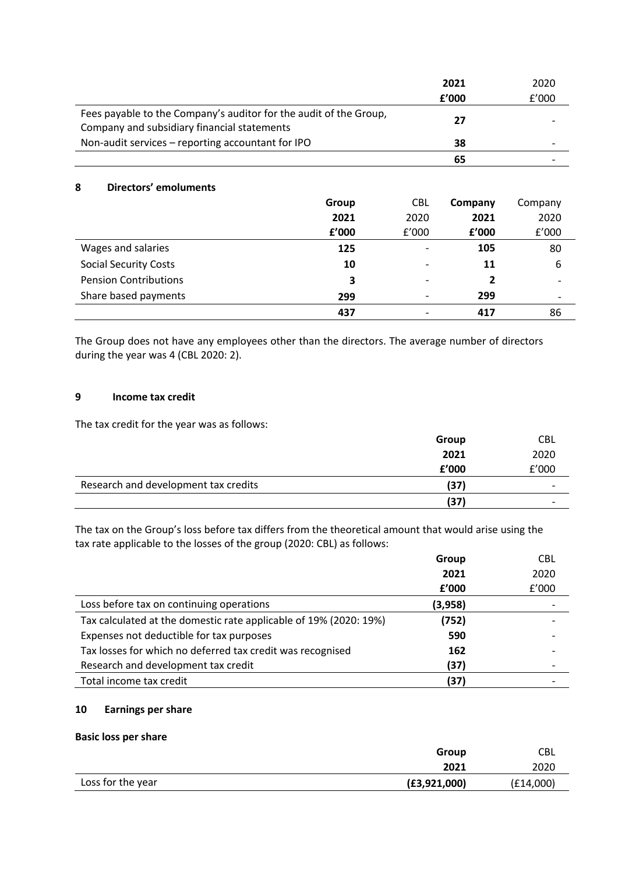|                                                                                                                  | 2021  | 2020  |
|------------------------------------------------------------------------------------------------------------------|-------|-------|
|                                                                                                                  | f'000 | f'000 |
| Fees payable to the Company's auditor for the audit of the Group,<br>Company and subsidiary financial statements | 27    |       |
| Non-audit services – reporting accountant for IPO                                                                | 38    |       |
|                                                                                                                  | 65    |       |

### **8 Directors' emoluments**

|                              | <b>Group</b> | <b>CBL</b>               | Company | Company |
|------------------------------|--------------|--------------------------|---------|---------|
|                              | 2021         | 2020                     | 2021    | 2020    |
|                              | f'000        | f'000                    | f'000   | f'000   |
| Wages and salaries           | 125          |                          | 105     | 80      |
| <b>Social Security Costs</b> | 10           | $\overline{\phantom{0}}$ | 11      | 6       |
| <b>Pension Contributions</b> | 3            | $\overline{\phantom{a}}$ | 2       |         |
| Share based payments         | 299          | $\overline{\phantom{a}}$ | 299     |         |
|                              | 437          |                          | 417     | 86      |

The Group does not have any employees other than the directors. The average number of directors during the year was 4 (CBL 2020: 2).

#### **9 Income tax credit**

The tax credit for the year was as follows:

|                                      | Group | CBL                      |
|--------------------------------------|-------|--------------------------|
|                                      | 2021  | 2020                     |
|                                      | f'000 | f'000                    |
| Research and development tax credits | (37)  | $\overline{\phantom{0}}$ |
|                                      | (37)  | $\overline{\phantom{0}}$ |
|                                      |       |                          |

The tax on the Group's loss before tax differs from the theoretical amount that would arise using the tax rate applicable to the losses of the group (2020: CBL) as follows:

|                                                                   | Group   | <b>CBL</b> |
|-------------------------------------------------------------------|---------|------------|
|                                                                   | 2021    | 2020       |
|                                                                   | f'000   | f'000      |
| Loss before tax on continuing operations                          | (3,958) |            |
| Tax calculated at the domestic rate applicable of 19% (2020: 19%) | (752)   |            |
| Expenses not deductible for tax purposes                          | 590     |            |
| Tax losses for which no deferred tax credit was recognised        | 162     |            |
| Research and development tax credit                               | (37)    |            |
| Total income tax credit                                           | (37)    |            |

## **10 Earnings per share**

#### **Basic loss per share**

|                   | Group          | <b>CBL</b> |
|-------------------|----------------|------------|
|                   | 2021           | 2020       |
| Loss for the year | (E3, 921, 000) | (E14,000)  |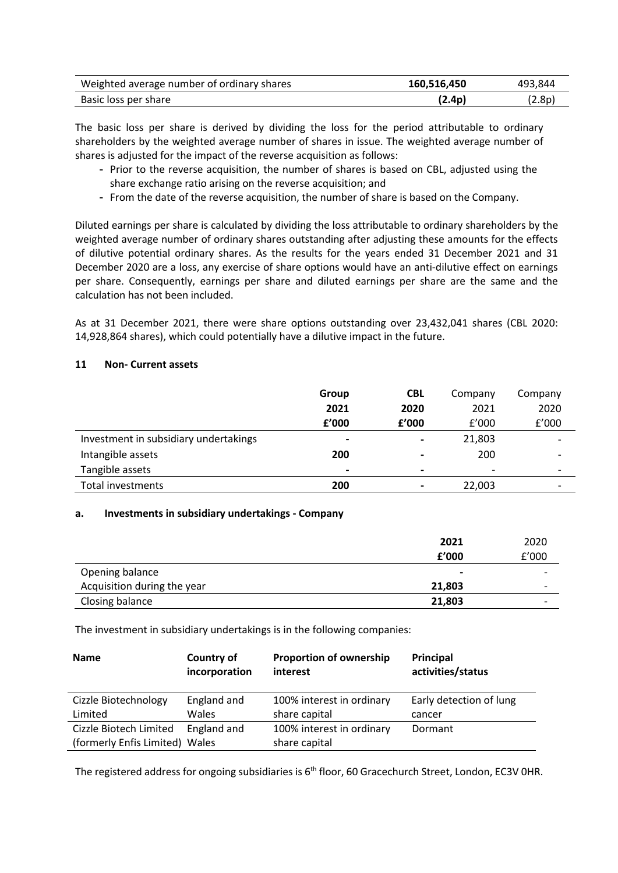| Weighted average number of ordinary shares | 160,516,450 | 493.844 |
|--------------------------------------------|-------------|---------|
| Basic loss per share                       | (2.4p       | .2.8p)  |

The basic loss per share is derived by dividing the loss for the period attributable to ordinary shareholders by the weighted average number of shares in issue. The weighted average number of shares is adjusted for the impact of the reverse acquisition as follows:

- Prior to the reverse acquisition, the number of shares is based on CBL, adjusted using the share exchange ratio arising on the reverse acquisition; and
- From the date of the reverse acquisition, the number of share is based on the Company.

Diluted earnings per share is calculated by dividing the loss attributable to ordinary shareholders by the weighted average number of ordinary shares outstanding after adjusting these amounts for the effects of dilutive potential ordinary shares. As the results for the years ended 31 December 2021 and 31 December 2020 are a loss, any exercise of share options would have an anti-dilutive effect on earnings per share. Consequently, earnings per share and diluted earnings per share are the same and the calculation has not been included.

As at 31 December 2021, there were share options outstanding over 23,432,041 shares (CBL 2020: 14,928,864 shares), which could potentially have a dilutive impact in the future.

#### **11 Non- Current assets**

|                                       | Group                    | <b>CBL</b>               | Company | Company |
|---------------------------------------|--------------------------|--------------------------|---------|---------|
|                                       | 2021                     | 2020                     | 2021    | 2020    |
|                                       | f'000                    | £'000                    | f'000   | f'000   |
| Investment in subsidiary undertakings | $\blacksquare$           | $\blacksquare$           | 21,803  |         |
| Intangible assets                     | 200                      |                          | 200     |         |
| Tangible assets                       | $\overline{\phantom{0}}$ | $\overline{\phantom{0}}$ |         |         |
| Total investments                     | 200                      |                          | 22,003  |         |

#### **a. Investments in subsidiary undertakings - Company**

|                             | 2021           | 2020                     |
|-----------------------------|----------------|--------------------------|
|                             | f'000          | f'000                    |
| Opening balance             | $\blacksquare$ | $\overline{\phantom{0}}$ |
| Acquisition during the year | 21,803         | $\overline{\phantom{0}}$ |
| Closing balance             | 21,803         | -                        |

The investment in subsidiary undertakings is in the following companies:

| <b>Name</b>                    | Country of<br>incorporation | <b>Proportion of ownership</b><br>interest | Principal<br>activities/status |
|--------------------------------|-----------------------------|--------------------------------------------|--------------------------------|
| Cizzle Biotechnology           | England and                 | 100% interest in ordinary                  | Early detection of lung        |
| Limited                        | Wales                       | share capital                              | cancer                         |
| Cizzle Biotech Limited         | England and                 | 100% interest in ordinary                  | Dormant                        |
| (formerly Enfis Limited) Wales |                             | share capital                              |                                |

The registered address for ongoing subsidiaries is 6<sup>th</sup> floor, 60 Gracechurch Street, London, EC3V OHR.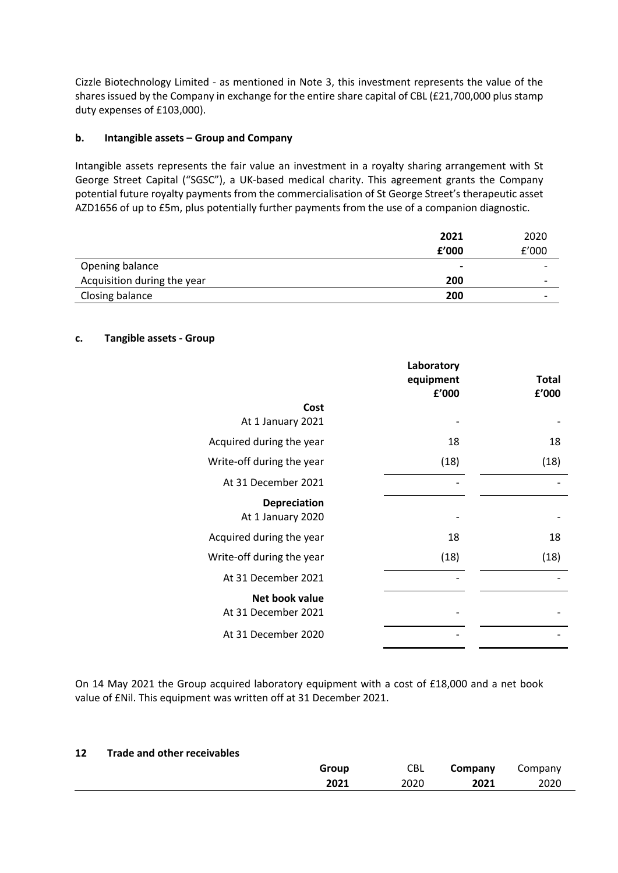Cizzle Biotechnology Limited - as mentioned in Note 3, this investment represents the value of the shares issued by the Company in exchange for the entire share capital of CBL (£21,700,000 plus stamp duty expenses of £103,000).

## **b. Intangible assets – Group and Company**

Intangible assets represents the fair value an investment in a royalty sharing arrangement with St George Street Capital ("SGSC"), a UK-based medical charity. This agreement grants the Company potential future royalty payments from the commercialisation of St George Street's therapeutic asset AZD1656 of up to £5m, plus potentially further payments from the use of a companion diagnostic.

|                             | 2021           | 2020                     |
|-----------------------------|----------------|--------------------------|
|                             | f'000          | f'000                    |
| Opening balance             | $\blacksquare$ |                          |
| Acquisition during the year | 200            | $\overline{\phantom{0}}$ |
| Closing balance             | 200            | $\overline{\phantom{0}}$ |

### **c. Tangible assets - Group**

|                                          | Laboratory<br>equipment<br>f'000 | <b>Total</b><br>f'000 |
|------------------------------------------|----------------------------------|-----------------------|
| Cost<br>At 1 January 2021                |                                  |                       |
| Acquired during the year                 | 18                               | 18                    |
| Write-off during the year                | (18)                             | (18)                  |
| At 31 December 2021                      |                                  |                       |
| <b>Depreciation</b><br>At 1 January 2020 |                                  |                       |
| Acquired during the year                 | 18                               | 18                    |
| Write-off during the year                | (18)                             | (18)                  |
| At 31 December 2021                      |                                  |                       |
| Net book value<br>At 31 December 2021    |                                  |                       |
| At 31 December 2020                      |                                  |                       |
|                                          |                                  |                       |

On 14 May 2021 the Group acquired laboratory equipment with a cost of £18,000 and a net book value of £Nil. This equipment was written off at 31 December 2021.

### **12 Trade and other receivables**

| Group | CBL  | Company | Company |
|-------|------|---------|---------|
| 2021  | 2020 | 2021    | 2020    |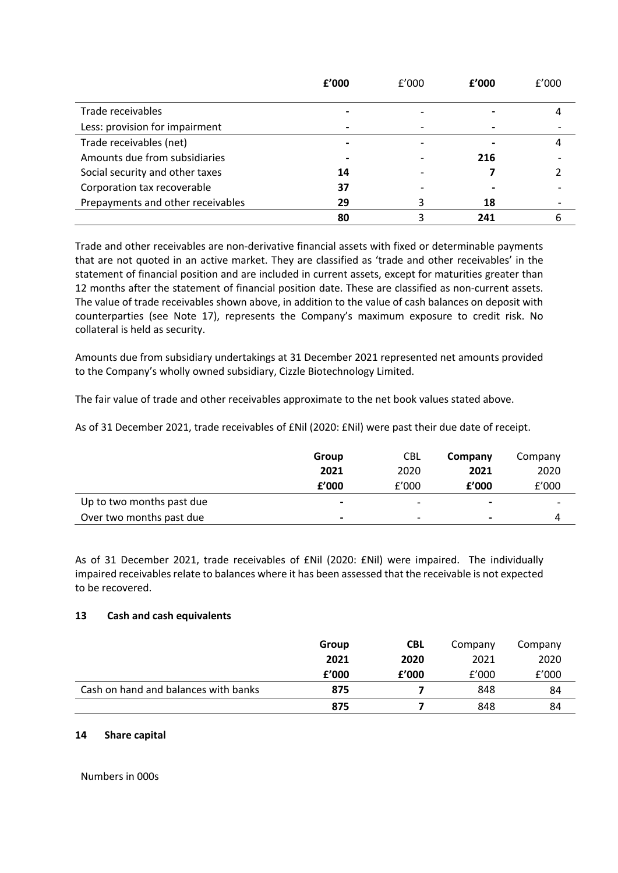|                                   | f'000 | f'000 | f'000 | f'000 |
|-----------------------------------|-------|-------|-------|-------|
| Trade receivables                 |       |       |       |       |
| Less: provision for impairment    |       |       |       |       |
| Trade receivables (net)           |       |       |       |       |
| Amounts due from subsidiaries     |       |       | 216   |       |
| Social security and other taxes   | 14    |       |       |       |
| Corporation tax recoverable       | 37    |       |       |       |
| Prepayments and other receivables | 29    |       | 18    |       |
|                                   | 80    |       | 241   |       |

Trade and other receivables are non-derivative financial assets with fixed or determinable payments that are not quoted in an active market. They are classified as 'trade and other receivables' in the statement of financial position and are included in current assets, except for maturities greater than 12 months after the statement of financial position date. These are classified as non-current assets. The value of trade receivables shown above, in addition to the value of cash balances on deposit with counterparties (see Note 17), represents the Company's maximum exposure to credit risk. No collateral is held as security.

Amounts due from subsidiary undertakings at 31 December 2021 represented net amounts provided to the Company's wholly owned subsidiary, Cizzle Biotechnology Limited.

The fair value of trade and other receivables approximate to the net book values stated above.

As of 31 December 2021, trade receivables of £Nil (2020: £Nil) were past their due date of receipt.

|                           | Group | <b>CBL</b>               | Company        | Company |
|---------------------------|-------|--------------------------|----------------|---------|
|                           | 2021  | 2020                     | 2021           | 2020    |
|                           | f'000 | f'000                    | f'000          | f'000   |
| Up to two months past due | $\,$  | -                        | $\blacksquare$ | -       |
| Over two months past due  | $\,$  | $\overline{\phantom{0}}$ | $\blacksquare$ |         |

As of 31 December 2021, trade receivables of £Nil (2020: £Nil) were impaired. The individually impaired receivables relate to balances where it has been assessed that the receivable is not expected to be recovered.

### **13 Cash and cash equivalents**

|                                      | Group | <b>CBL</b> | Company | Company |
|--------------------------------------|-------|------------|---------|---------|
|                                      | 2021  | 2020       | 2021    | 2020    |
|                                      | f'000 | f'000      | f'000   | f'000   |
| Cash on hand and balances with banks | 875   |            | 848     | 84      |
|                                      | 875   |            | 848     | 84      |

### **14 Share capital**

Numbers in 000s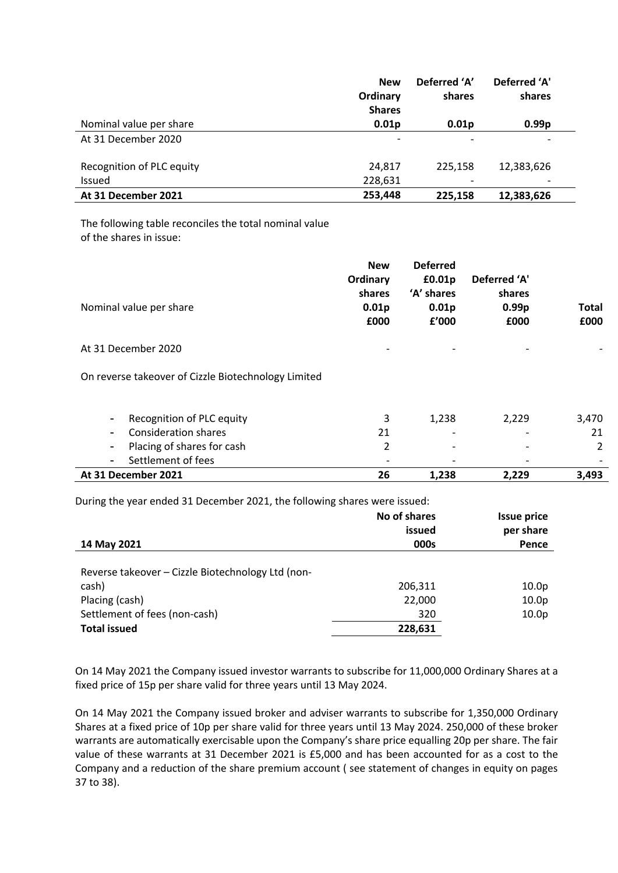|                           | <b>New</b><br>Ordinary<br><b>Shares</b> | Deferred 'A'<br>shares | Deferred 'A'<br>shares   |
|---------------------------|-----------------------------------------|------------------------|--------------------------|
| Nominal value per share   | 0.01 <sub>p</sub>                       | 0.01 <sub>p</sub>      | 0.99 <sub>p</sub>        |
| At 31 December 2020       | $\overline{\phantom{a}}$                |                        | $\overline{\phantom{a}}$ |
| Recognition of PLC equity | 24,817                                  | 225,158                | 12,383,626               |
| <b>Issued</b>             | 228,631                                 |                        |                          |
| At 31 December 2021       | 253,448                                 | 225.158                | 12,383,626               |

The following table reconciles the total nominal value of the shares in issue:

| Nominal value per share                                                                                            | <b>New</b><br>Ordinary<br>shares<br>0.01 <sub>p</sub><br>£000 | <b>Deferred</b><br>£0.01p<br>'A' shares<br>0.01 <sub>p</sub><br>f'000 | Deferred 'A'<br>shares<br>0.99 <sub>p</sub><br>£000 | <b>Total</b><br>£000 |
|--------------------------------------------------------------------------------------------------------------------|---------------------------------------------------------------|-----------------------------------------------------------------------|-----------------------------------------------------|----------------------|
| At 31 December 2020<br>On reverse takeover of Cizzle Biotechnology Limited                                         |                                                               |                                                                       |                                                     |                      |
| Recognition of PLC equity<br><b>Consideration shares</b><br>Placing of shares for cash<br>Ξ.<br>Settlement of fees | 3<br>21<br>2                                                  | 1,238                                                                 | 2,229                                               | 3,470<br>21<br>2     |
| At 31 December 2021                                                                                                | 26                                                            | 1,238                                                                 | 2,229                                               | 3,493                |

During the year ended 31 December 2021, the following shares were issued:

|                                                   | No of shares<br>issued | <b>Issue price</b><br>per share |
|---------------------------------------------------|------------------------|---------------------------------|
| 14 May 2021                                       | 000s                   | Pence                           |
| Reverse takeover - Cizzle Biotechnology Ltd (non- |                        |                                 |
| cash)                                             | 206,311                | 10.0 <sub>p</sub>               |
| Placing (cash)                                    | 22,000                 | 10.0 <sub>p</sub>               |
| Settlement of fees (non-cash)                     | 320                    | 10.0 <sub>p</sub>               |
| <b>Total issued</b>                               | 228,631                |                                 |

On 14 May 2021 the Company issued investor warrants to subscribe for 11,000,000 Ordinary Shares at a fixed price of 15p per share valid for three years until 13 May 2024.

On 14 May 2021 the Company issued broker and adviser warrants to subscribe for 1,350,000 Ordinary Shares at a fixed price of 10p per share valid for three years until 13 May 2024. 250,000 of these broker warrants are automatically exercisable upon the Company's share price equalling 20p per share. The fair value of these warrants at 31 December 2021 is £5,000 and has been accounted for as a cost to the Company and a reduction of the share premium account ( see statement of changes in equity on pages 37 to 38).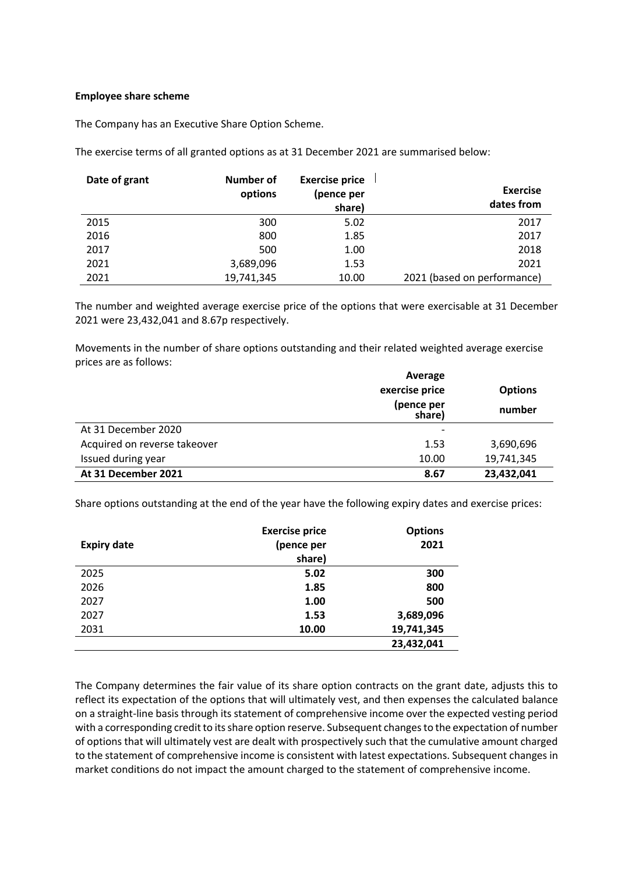#### **Employee share scheme**

The Company has an Executive Share Option Scheme.

The exercise terms of all granted options as at 31 December 2021 are summarised below:

| Date of grant | Number of<br>options | <b>Exercise price</b><br>(pence per<br>share) | <b>Exercise</b><br>dates from |
|---------------|----------------------|-----------------------------------------------|-------------------------------|
| 2015          | 300                  | 5.02                                          | 2017                          |
| 2016          | 800                  | 1.85                                          | 2017                          |
| 2017          | 500                  | 1.00                                          | 2018                          |
| 2021          | 3,689,096            | 1.53                                          | 2021                          |
| 2021          | 19,741,345           | 10.00                                         | 2021 (based on performance)   |

The number and weighted average exercise price of the options that were exercisable at 31 December 2021 were 23,432,041 and 8.67p respectively.

Movements in the number of share options outstanding and their related weighted average exercise prices are as follows:

|                              | Average                  |                |  |  |
|------------------------------|--------------------------|----------------|--|--|
|                              | exercise price           | <b>Options</b> |  |  |
|                              | (pence per<br>share)     | number         |  |  |
| At 31 December 2020          | $\overline{\phantom{a}}$ |                |  |  |
| Acquired on reverse takeover | 1.53                     | 3,690,696      |  |  |
| Issued during year           | 10.00                    | 19,741,345     |  |  |
| At 31 December 2021          | 8.67                     | 23,432,041     |  |  |

Share options outstanding at the end of the year have the following expiry dates and exercise prices:

|                    | <b>Exercise price</b> | <b>Options</b> |
|--------------------|-----------------------|----------------|
| <b>Expiry date</b> | (pence per            | 2021           |
|                    | share)                |                |
| 2025               | 5.02                  | 300            |
| 2026               | 1.85                  | 800            |
| 2027               | 1.00                  | 500            |
| 2027               | 1.53                  | 3,689,096      |
| 2031               | 10.00                 | 19,741,345     |
|                    |                       | 23,432,041     |

The Company determines the fair value of its share option contracts on the grant date, adjusts this to reflect its expectation of the options that will ultimately vest, and then expenses the calculated balance on a straight-line basis through its statement of comprehensive income over the expected vesting period with a corresponding credit to its share option reserve. Subsequent changes to the expectation of number of options that will ultimately vest are dealt with prospectively such that the cumulative amount charged to the statement of comprehensive income is consistent with latest expectations. Subsequent changes in market conditions do not impact the amount charged to the statement of comprehensive income.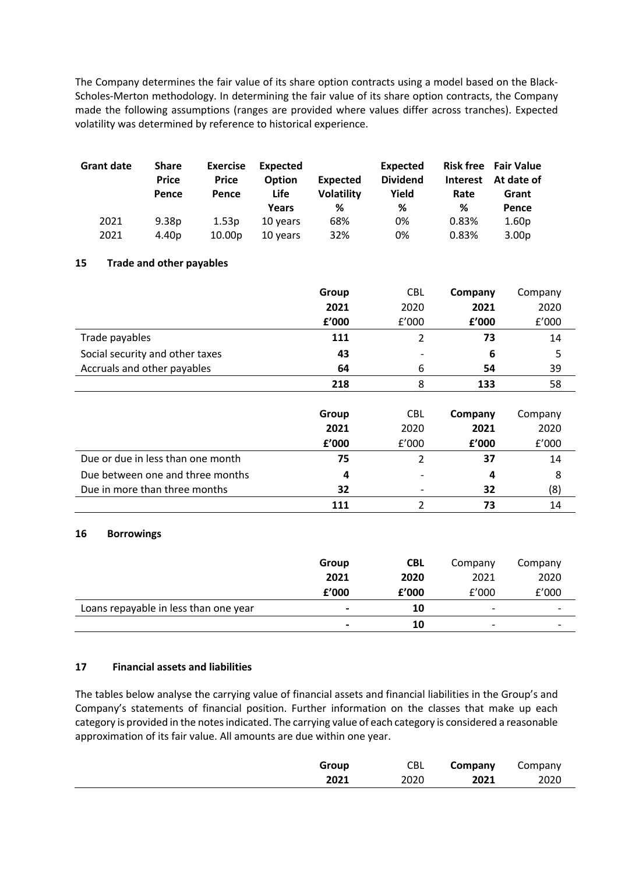The Company determines the fair value of its share option contracts using a model based on the Black-Scholes-Merton methodology. In determining the fair value of its share option contracts, the Company made the following assumptions (ranges are provided where values differ across tranches). Expected volatility was determined by reference to historical experience.

| <b>Grant date</b> | <b>Share</b><br><b>Price</b><br>Pence | <b>Exercise</b><br><b>Price</b><br>Pence | Expected<br><b>Option</b><br>Life<br>Years | Expected<br><b>Volatility</b><br>℅ | <b>Expected</b><br><b>Dividend</b><br>Yield<br>% | <b>Risk free</b><br><b>Interest</b><br>Rate<br>℅ | <b>Fair Value</b><br>At date of<br>Grant<br>Pence |
|-------------------|---------------------------------------|------------------------------------------|--------------------------------------------|------------------------------------|--------------------------------------------------|--------------------------------------------------|---------------------------------------------------|
| 2021              | 9.38 <sub>p</sub>                     | 1.53 <sub>D</sub>                        | 10 years                                   | 68%                                | 0%                                               | 0.83%                                            | 1.60 <sub>p</sub>                                 |
| 2021              | 4.40 <sub>p</sub>                     | 10.00 <sub>D</sub>                       | 10 years                                   | 32%                                | 0%                                               | 0.83%                                            | 3.00 <sub>p</sub>                                 |

## **15 Trade and other payables**

|                                 | Group | <b>CBL</b> | Company | Company |
|---------------------------------|-------|------------|---------|---------|
|                                 | 2021  | 2020       | 2021    | 2020    |
|                                 | f'000 | f'000      | f'000   | f'000   |
| Trade payables                  | 111   |            | 73      | 14      |
| Social security and other taxes | 43    | -          | 6       | 5       |
| Accruals and other payables     | 64    | 6          | 54      | 39      |
|                                 | 218   | 8          | 133     | 58      |

|                                   | Group | <b>CBL</b> | Company | Company |
|-----------------------------------|-------|------------|---------|---------|
|                                   | 2021  | 2020       | 2021    | 2020    |
|                                   | f'000 | f'000      | f'000   | f'000   |
| Due or due in less than one month | 75    |            | 37      | 14      |
| Due between one and three months  | 4     |            | 4       | 8       |
| Due in more than three months     | 32    |            | 32      | (8)     |
|                                   | 111   |            | 73      | 14      |

### **16 Borrowings**

|                                       | Group                    | CBL   | Company                  | Company |
|---------------------------------------|--------------------------|-------|--------------------------|---------|
|                                       | 2021                     | 2020  | 2021                     | 2020    |
|                                       | f'000                    | £'000 | f'000                    | f'000   |
| Loans repayable in less than one year | $\overline{\phantom{0}}$ | 10    | $\overline{\phantom{a}}$ | ۰       |
|                                       | $\overline{\phantom{0}}$ | 10    | $\overline{\phantom{a}}$ | -       |

### **17 Financial assets and liabilities**

The tables below analyse the carrying value of financial assets and financial liabilities in the Group's and Company's statements of financial position. Further information on the classes that make up each category is provided in the notes indicated. The carrying value of each category is considered a reasonable approximation of its fair value. All amounts are due within one year.

| Group | CBL  | Company | Company |
|-------|------|---------|---------|
| 2021  | 2020 | 2021    | 2020    |
|       |      |         |         |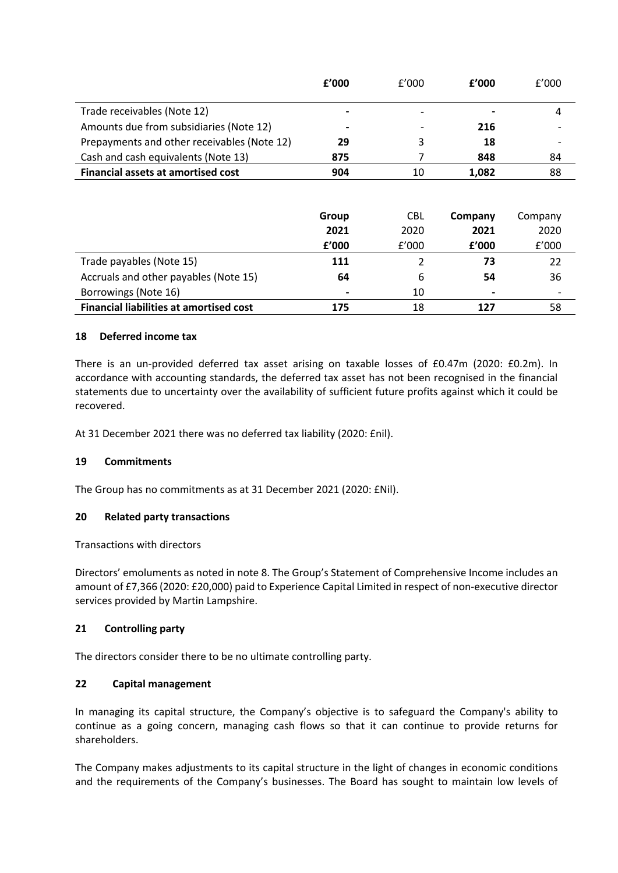|                                             | f'000                    | f'000 | f'000                    | f'000                    |
|---------------------------------------------|--------------------------|-------|--------------------------|--------------------------|
| Trade receivables (Note 12)                 | $\overline{\phantom{0}}$ |       | $\overline{\phantom{0}}$ |                          |
| Amounts due from subsidiaries (Note 12)     | $\blacksquare$           |       | 216                      | $\overline{\phantom{0}}$ |
| Prepayments and other receivables (Note 12) | 29                       | 3     | 18                       | $\overline{\phantom{0}}$ |
| Cash and cash equivalents (Note 13)         | 875                      |       | 848                      | 84                       |
| Financial assets at amortised cost          | 904                      | 10    | 1,082                    | 88                       |

|                                                | Group                    | <b>CBL</b> | Company        | Company                  |
|------------------------------------------------|--------------------------|------------|----------------|--------------------------|
|                                                | 2021                     | 2020       | 2021           | 2020                     |
|                                                | f'000                    | f'000      | f'000          | f'000                    |
| Trade payables (Note 15)                       | 111                      |            | 73             | 22                       |
| Accruals and other payables (Note 15)          | 64                       | 6          | 54             | 36                       |
| Borrowings (Note 16)                           | $\overline{\phantom{0}}$ | 10         | $\blacksquare$ | $\overline{\phantom{a}}$ |
| <b>Financial liabilities at amortised cost</b> | 175                      | 18         | 127            | 58                       |

### **18 Deferred income tax**

There is an un-provided deferred tax asset arising on taxable losses of £0.47m (2020: £0.2m). In accordance with accounting standards, the deferred tax asset has not been recognised in the financial statements due to uncertainty over the availability of sufficient future profits against which it could be recovered.

At 31 December 2021 there was no deferred tax liability (2020: £nil).

### **19 Commitments**

The Group has no commitments as at 31 December 2021 (2020: £Nil).

### **20 Related party transactions**

Transactions with directors

Directors' emoluments as noted in note 8. The Group's Statement of Comprehensive Income includes an amount of £7,366 (2020: £20,000) paid to Experience Capital Limited in respect of non-executive director services provided by Martin Lampshire.

### **21 Controlling party**

The directors consider there to be no ultimate controlling party.

### **22 Capital management**

In managing its capital structure, the Company's objective is to safeguard the Company's ability to continue as a going concern, managing cash flows so that it can continue to provide returns for shareholders.

The Company makes adjustments to its capital structure in the light of changes in economic conditions and the requirements of the Company's businesses. The Board has sought to maintain low levels of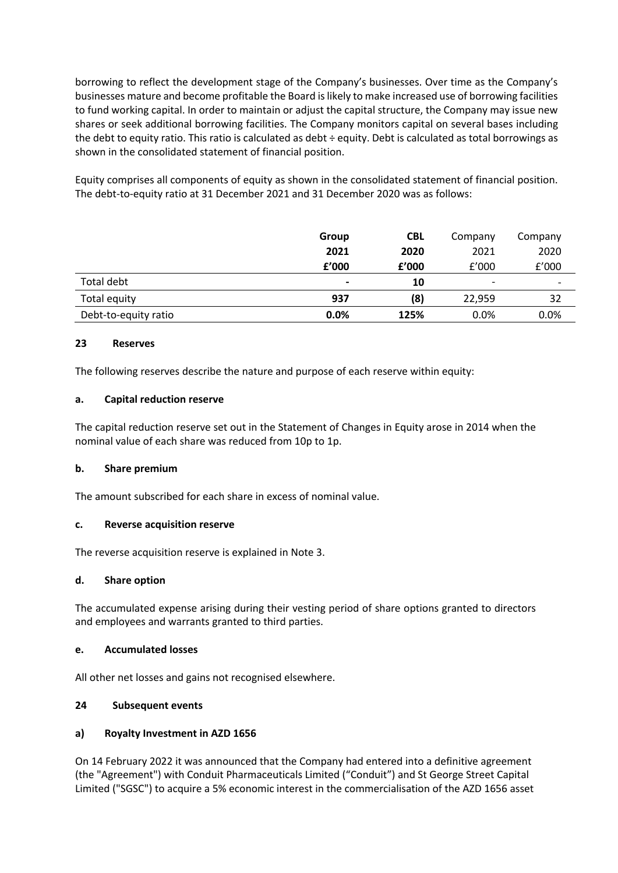borrowing to reflect the development stage of the Company's businesses. Over time as the Company's businesses mature and become profitable the Board is likely to make increased use of borrowing facilities to fund working capital. In order to maintain or adjust the capital structure, the Company may issue new shares or seek additional borrowing facilities. The Company monitors capital on several bases including the debt to equity ratio. This ratio is calculated as debt ÷ equity. Debt is calculated as total borrowings as shown in the consolidated statement of financial position.

Equity comprises all components of equity as shown in the consolidated statement of financial position. The debt-to-equity ratio at 31 December 2021 and 31 December 2020 was as follows:

|                      | Group          | <b>CBL</b> | Company | Company                  |
|----------------------|----------------|------------|---------|--------------------------|
|                      | 2021           | 2020       | 2021    | 2020                     |
|                      | f'000          | f'000      | f'000   | f'000                    |
| Total debt           | $\blacksquare$ | 10         | ٠       | $\overline{\phantom{a}}$ |
| Total equity         | 937            | (8)        | 22.959  | 32                       |
| Debt-to-equity ratio | 0.0%           | 125%       | 0.0%    | 0.0%                     |

### **23 Reserves**

The following reserves describe the nature and purpose of each reserve within equity:

### **a. Capital reduction reserve**

The capital reduction reserve set out in the Statement of Changes in Equity arose in 2014 when the nominal value of each share was reduced from 10p to 1p.

### **b. Share premium**

The amount subscribed for each share in excess of nominal value.

### **c. Reverse acquisition reserve**

The reverse acquisition reserve is explained in Note 3.

### **d. Share option**

The accumulated expense arising during their vesting period of share options granted to directors and employees and warrants granted to third parties.

### **e. Accumulated losses**

All other net losses and gains not recognised elsewhere.

### **24 Subsequent events**

## **a) Royalty Investment in AZD 1656**

On 14 February 2022 it was announced that the Company had entered into a definitive agreement (the "Agreement") with Conduit Pharmaceuticals Limited ("Conduit") and St George Street Capital Limited ("SGSC") to acquire a 5% economic interest in the commercialisation of the AZD 1656 asset